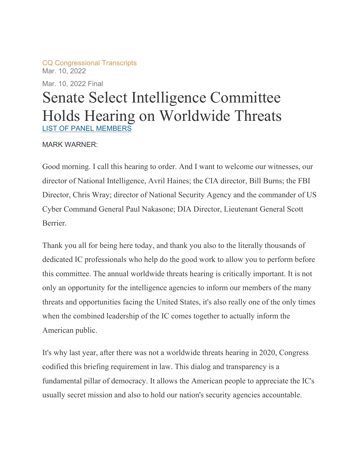CQ Congressional Transcripts Mar. 10, 2022

Mar. 10, 2022 Final

# Senate Select Intelligence Committee Holds Hearing on Worldwide Threats LIST OF PANEL MEMBERS

# MARK WARNER:

Good morning. I call this hearing to order. And I want to welcome our witnesses, our director of National Intelligence, Avril Haines; the CIA director, Bill Burns; the FBI Director, Chris Wray; director of National Security Agency and the commander of US Cyber Command General Paul Nakasone; DIA Director, Lieutenant General Scott Berrier.

Thank you all for being here today, and thank you also to the literally thousands of dedicated IC professionals who help do the good work to allow you to perform before this committee. The annual worldwide threats hearing is critically important. It is not only an opportunity for the intelligence agencies to inform our members of the many threats and opportunities facing the United States, it's also really one of the only times when the combined leadership of the IC comes together to actually inform the American public.

It's why last year, after there was not a worldwide threats hearing in 2020, Congress codified this briefing requirement in law. This dialog and transparency is a fundamental pillar of democracy. It allows the American people to appreciate the IC's usually secret mission and also to hold our nation's security agencies accountable.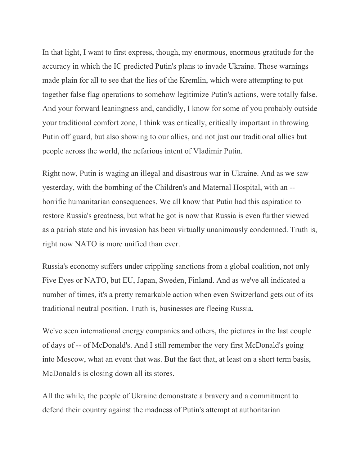In that light, I want to first express, though, my enormous, enormous gratitude for the accuracy in which the IC predicted Putin's plans to invade Ukraine. Those warnings made plain for all to see that the lies of the Kremlin, which were attempting to put together false flag operations to somehow legitimize Putin's actions, were totally false. And your forward leaningness and, candidly, I know for some of you probably outside your traditional comfort zone, I think was critically, critically important in throwing Putin off guard, but also showing to our allies, and not just our traditional allies but people across the world, the nefarious intent of Vladimir Putin.

Right now, Putin is waging an illegal and disastrous war in Ukraine. And as we saw yesterday, with the bombing of the Children's and Maternal Hospital, with an - horrific humanitarian consequences. We all know that Putin had this aspiration to restore Russia's greatness, but what he got is now that Russia is even further viewed as a pariah state and his invasion has been virtually unanimously condemned. Truth is, right now NATO is more unified than ever.

Russia's economy suffers under crippling sanctions from a global coalition, not only Five Eyes or NATO, but EU, Japan, Sweden, Finland. And as we've all indicated a number of times, it's a pretty remarkable action when even Switzerland gets out of its traditional neutral position. Truth is, businesses are fleeing Russia.

We've seen international energy companies and others, the pictures in the last couple of days of -- of McDonald's. And I still remember the very first McDonald's going into Moscow, what an event that was. But the fact that, at least on a short term basis, McDonald's is closing down all its stores.

All the while, the people of Ukraine demonstrate a bravery and a commitment to defend their country against the madness of Putin's attempt at authoritarian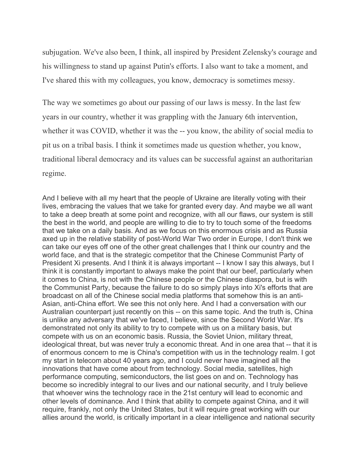subjugation. We've also been, I think, all inspired by President Zelensky's courage and his willingness to stand up against Putin's efforts. I also want to take a moment, and I've shared this with my colleagues, you know, democracy is sometimes messy.

The way we sometimes go about our passing of our laws is messy. In the last few years in our country, whether it was grappling with the January 6th intervention, whether it was COVID, whether it was the -- you know, the ability of social media to pit us on a tribal basis. I think it sometimes made us question whether, you know, traditional liberal democracy and its values can be successful against an authoritarian regime.

And I believe with all my heart that the people of Ukraine are literally voting with their lives, embracing the values that we take for granted every day. And maybe we all want to take a deep breath at some point and recognize, with all our flaws, our system is still the best in the world, and people are willing to die to try to touch some of the freedoms that we take on a daily basis. And as we focus on this enormous crisis and as Russia axed up in the relative stability of post-World War Two order in Europe, I don't think we can take our eyes off one of the other great challenges that I think our country and the world face, and that is the strategic competitor that the Chinese Communist Party of President Xi presents. And I think it is always important -- I know I say this always, but I think it is constantly important to always make the point that our beef, particularly when it comes to China, is not with the Chinese people or the Chinese diaspora, but is with the Communist Party, because the failure to do so simply plays into Xi's efforts that are broadcast on all of the Chinese social media platforms that somehow this is an anti-Asian, anti-China effort. We see this not only here. And I had a conversation with our Australian counterpart just recently on this -- on this same topic. And the truth is, China is unlike any adversary that we've faced, I believe, since the Second World War. It's demonstrated not only its ability to try to compete with us on a military basis, but compete with us on an economic basis. Russia, the Soviet Union, military threat, ideological threat, but was never truly a economic threat. And in one area that -- that it is of enormous concern to me is China's competition with us in the technology realm. I got my start in telecom about 40 years ago, and I could never have imagined all the innovations that have come about from technology. Social media, satellites, high performance computing, semiconductors, the list goes on and on. Technology has become so incredibly integral to our lives and our national security, and I truly believe that whoever wins the technology race in the 21st century will lead to economic and other levels of dominance. And I think that ability to compete against China, and it will require, frankly, not only the United States, but it will require great working with our allies around the world, is critically important in a clear intelligence and national security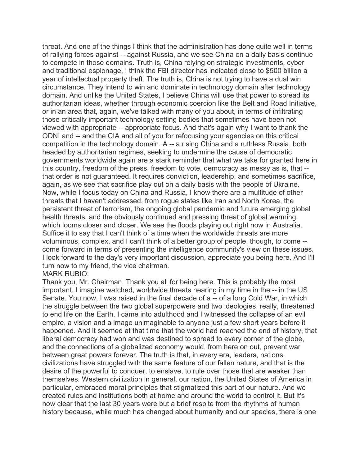threat. And one of the things I think that the administration has done quite well in terms of rallying forces against -- against Russia, and we see China on a daily basis continue to compete in those domains. Truth is, China relying on strategic investments, cyber and traditional espionage, I think the FBI director has indicated close to \$500 billion a year of intellectual property theft. The truth is, China is not trying to have a dual win circumstance. They intend to win and dominate in technology domain after technology domain. And unlike the United States, I believe China will use that power to spread its authoritarian ideas, whether through economic coercion like the Belt and Road Initiative, or in an area that, again, we've talked with many of you about, in terms of infiltrating those critically important technology setting bodies that sometimes have been not viewed with appropriate -- appropriate focus. And that's again why I want to thank the ODNI and -- and the CIA and all of you for refocusing your agencies on this critical competition in the technology domain. A -- a rising China and a ruthless Russia, both headed by authoritarian regimes, seeking to undermine the cause of democratic governments worldwide again are a stark reminder that what we take for granted here in this country, freedom of the press, freedom to vote, democracy as messy as is, that - that order is not guaranteed. It requires conviction, leadership, and sometimes sacrifice, again, as we see that sacrifice play out on a daily basis with the people of Ukraine. Now, while I focus today on China and Russia, I know there are a multitude of other threats that I haven't addressed, from rogue states like Iran and North Korea, the persistent threat of terrorism, the ongoing global pandemic and future emerging global health threats, and the obviously continued and pressing threat of global warming, which looms closer and closer. We see the floods playing out right now in Australia. Suffice it to say that I can't think of a time when the worldwide threats are more voluminous, complex, and I can't think of a better group of people, though, to come - come forward in terms of presenting the intelligence community's view on these issues. I look forward to the day's very important discussion, appreciate you being here. And I'll turn now to my friend, the vice chairman.

#### MARK RUBIO:

Thank you, Mr. Chairman. Thank you all for being here. This is probably the most important, I imagine watched, worldwide threats hearing in my time in the -- in the US Senate. You now, I was raised in the final decade of a -- of a long Cold War, in which the struggle between the two global superpowers and two ideologies, really, threatened to end life on the Earth. I came into adulthood and I witnessed the collapse of an evil empire, a vision and a image unimaginable to anyone just a few short years before it happened. And it seemed at that time that the world had reached the end of history, that liberal democracy had won and was destined to spread to every corner of the globe, and the connections of a globalized economy would, from here on out, prevent war between great powers forever. The truth is that, in every era, leaders, nations, civilizations have struggled with the same feature of our fallen nature, and that is the desire of the powerful to conquer, to enslave, to rule over those that are weaker than themselves. Western civilization in general, our nation, the United States of America in particular, embraced moral principles that stigmatized this part of our nature. And we created rules and institutions both at home and around the world to control it. But it's now clear that the last 30 years were but a brief respite from the rhythms of human history because, while much has changed about humanity and our species, there is one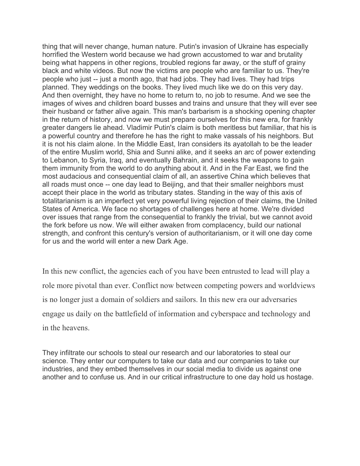thing that will never change, human nature. Putin's invasion of Ukraine has especially horrified the Western world because we had grown accustomed to war and brutality being what happens in other regions, troubled regions far away, or the stuff of grainy black and white videos. But now the victims are people who are familiar to us. They're people who just -- just a month ago, that had jobs. They had lives. They had trips planned. They weddings on the books. They lived much like we do on this very day. And then overnight, they have no home to return to, no job to resume. And we see the images of wives and children board busses and trains and unsure that they will ever see their husband or father alive again. This man's barbarism is a shocking opening chapter in the return of history, and now we must prepare ourselves for this new era, for frankly greater dangers lie ahead. Vladimir Putin's claim is both meritless but familiar, that his is a powerful country and therefore he has the right to make vassals of his neighbors. But it is not his claim alone. In the Middle East, Iran considers its ayatollah to be the leader of the entire Muslim world, Shia and Sunni alike, and it seeks an arc of power extending to Lebanon, to Syria, Iraq, and eventually Bahrain, and it seeks the weapons to gain them immunity from the world to do anything about it. And in the Far East, we find the most audacious and consequential claim of all, an assertive China which believes that all roads must once -- one day lead to Beijing, and that their smaller neighbors must accept their place in the world as tributary states. Standing in the way of this axis of totalitarianism is an imperfect yet very powerful living rejection of their claims, the United States of America. We face no shortages of challenges here at home. We're divided over issues that range from the consequential to frankly the trivial, but we cannot avoid the fork before us now. We will either awaken from complacency, build our national strength, and confront this century's version of authoritarianism, or it will one day come for us and the world will enter a new Dark Age.

In this new conflict, the agencies each of you have been entrusted to lead will play a role more pivotal than ever. Conflict now between competing powers and worldviews is no longer just a domain of soldiers and sailors. In this new era our adversaries engage us daily on the battlefield of information and cyberspace and technology and in the heavens.

They infiltrate our schools to steal our research and our laboratories to steal our science. They enter our computers to take our data and our companies to take our industries, and they embed themselves in our social media to divide us against one another and to confuse us. And in our critical infrastructure to one day hold us hostage.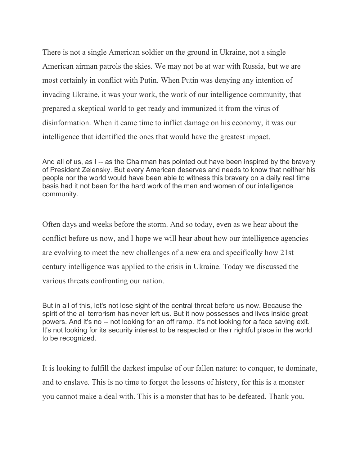There is not a single American soldier on the ground in Ukraine, not a single American airman patrols the skies. We may not be at war with Russia, but we are most certainly in conflict with Putin. When Putin was denying any intention of invading Ukraine, it was your work, the work of our intelligence community, that prepared a skeptical world to get ready and immunized it from the virus of disinformation. When it came time to inflict damage on his economy, it was our intelligence that identified the ones that would have the greatest impact.

And all of us, as I -- as the Chairman has pointed out have been inspired by the bravery of President Zelensky. But every American deserves and needs to know that neither his people nor the world would have been able to witness this bravery on a daily real time basis had it not been for the hard work of the men and women of our intelligence community.

Often days and weeks before the storm. And so today, even as we hear about the conflict before us now, and I hope we will hear about how our intelligence agencies are evolving to meet the new challenges of a new era and specifically how 21st century intelligence was applied to the crisis in Ukraine. Today we discussed the various threats confronting our nation.

But in all of this, let's not lose sight of the central threat before us now. Because the spirit of the all terrorism has never left us. But it now possesses and lives inside great powers. And it's no -- not looking for an off ramp. It's not looking for a face saving exit. It's not looking for its security interest to be respected or their rightful place in the world to be recognized.

It is looking to fulfill the darkest impulse of our fallen nature: to conquer, to dominate, and to enslave. This is no time to forget the lessons of history, for this is a monster you cannot make a deal with. This is a monster that has to be defeated. Thank you.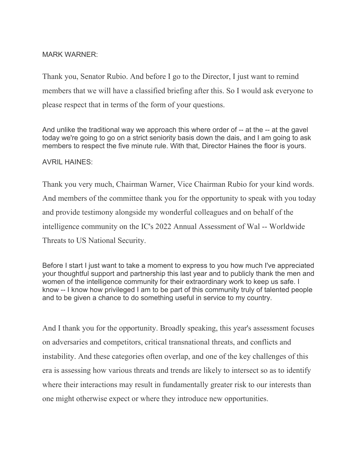# MARK WARNER:

Thank you, Senator Rubio. And before I go to the Director, I just want to remind members that we will have a classified briefing after this. So I would ask everyone to please respect that in terms of the form of your questions.

And unlike the traditional way we approach this where order of -- at the -- at the gavel today we're going to go on a strict seniority basis down the dais, and I am going to ask members to respect the five minute rule. With that, Director Haines the floor is yours.

# AVRIL HAINES:

Thank you very much, Chairman Warner, Vice Chairman Rubio for your kind words. And members of the committee thank you for the opportunity to speak with you today and provide testimony alongside my wonderful colleagues and on behalf of the intelligence community on the IC's 2022 Annual Assessment of Wal -- Worldwide Threats to US National Security.

Before I start I just want to take a moment to express to you how much I've appreciated your thoughtful support and partnership this last year and to publicly thank the men and women of the intelligence community for their extraordinary work to keep us safe. I know -- I know how privileged I am to be part of this community truly of talented people and to be given a chance to do something useful in service to my country.

And I thank you for the opportunity. Broadly speaking, this year's assessment focuses on adversaries and competitors, critical transnational threats, and conflicts and instability. And these categories often overlap, and one of the key challenges of this era is assessing how various threats and trends are likely to intersect so as to identify where their interactions may result in fundamentally greater risk to our interests than one might otherwise expect or where they introduce new opportunities.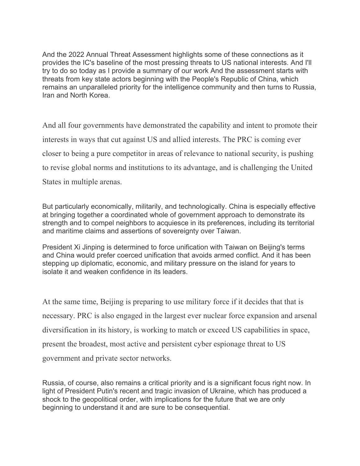And the 2022 Annual Threat Assessment highlights some of these connections as it provides the IC's baseline of the most pressing threats to US national interests. And I'll try to do so today as I provide a summary of our work And the assessment starts with threats from key state actors beginning with the People's Republic of China, which remains an unparalleled priority for the intelligence community and then turns to Russia, Iran and North Korea.

And all four governments have demonstrated the capability and intent to promote their interests in ways that cut against US and allied interests. The PRC is coming ever closer to being a pure competitor in areas of relevance to national security, is pushing to revise global norms and institutions to its advantage, and is challenging the United States in multiple arenas.

But particularly economically, militarily, and technologically. China is especially effective at bringing together a coordinated whole of government approach to demonstrate its strength and to compel neighbors to acquiesce in its preferences, including its territorial and maritime claims and assertions of sovereignty over Taiwan.

President Xi Jinping is determined to force unification with Taiwan on Beijing's terms and China would prefer coerced unification that avoids armed conflict. And it has been stepping up diplomatic, economic, and military pressure on the island for years to isolate it and weaken confidence in its leaders.

At the same time, Beijing is preparing to use military force if it decides that that is necessary. PRC is also engaged in the largest ever nuclear force expansion and arsenal diversification in its history, is working to match or exceed US capabilities in space, present the broadest, most active and persistent cyber espionage threat to US government and private sector networks.

Russia, of course, also remains a critical priority and is a significant focus right now. In light of President Putin's recent and tragic invasion of Ukraine, which has produced a shock to the geopolitical order, with implications for the future that we are only beginning to understand it and are sure to be consequential.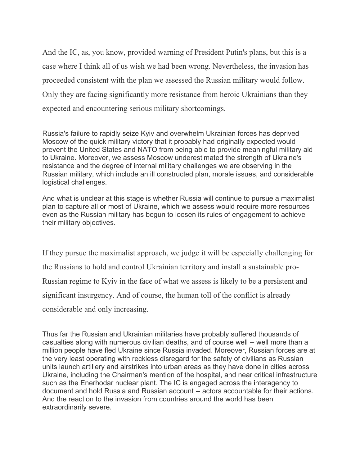And the IC, as, you know, provided warning of President Putin's plans, but this is a case where I think all of us wish we had been wrong. Nevertheless, the invasion has proceeded consistent with the plan we assessed the Russian military would follow. Only they are facing significantly more resistance from heroic Ukrainians than they expected and encountering serious military shortcomings.

Russia's failure to rapidly seize Kyiv and overwhelm Ukrainian forces has deprived Moscow of the quick military victory that it probably had originally expected would prevent the United States and NATO from being able to provide meaningful military aid to Ukraine. Moreover, we assess Moscow underestimated the strength of Ukraine's resistance and the degree of internal military challenges we are observing in the Russian military, which include an ill constructed plan, morale issues, and considerable logistical challenges.

And what is unclear at this stage is whether Russia will continue to pursue a maximalist plan to capture all or most of Ukraine, which we assess would require more resources even as the Russian military has begun to loosen its rules of engagement to achieve their military objectives.

If they pursue the maximalist approach, we judge it will be especially challenging for the Russians to hold and control Ukrainian territory and install a sustainable pro-Russian regime to Kyiv in the face of what we assess is likely to be a persistent and significant insurgency. And of course, the human toll of the conflict is already considerable and only increasing.

Thus far the Russian and Ukrainian militaries have probably suffered thousands of casualties along with numerous civilian deaths, and of course well -- well more than a million people have fled Ukraine since Russia invaded. Moreover, Russian forces are at the very least operating with reckless disregard for the safety of civilians as Russian units launch artillery and airstrikes into urban areas as they have done in cities across Ukraine, including the Chairman's mention of the hospital, and near critical infrastructure such as the Enerhodar nuclear plant. The IC is engaged across the interagency to document and hold Russia and Russian account -- actors accountable for their actions. And the reaction to the invasion from countries around the world has been extraordinarily severe.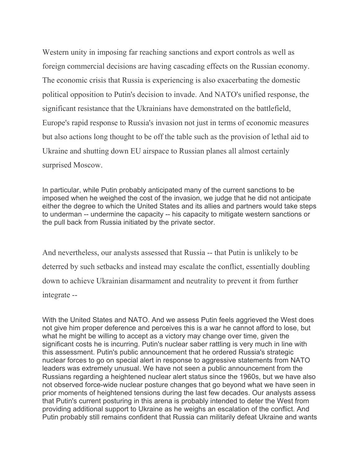Western unity in imposing far reaching sanctions and export controls as well as foreign commercial decisions are having cascading effects on the Russian economy. The economic crisis that Russia is experiencing is also exacerbating the domestic political opposition to Putin's decision to invade. And NATO's unified response, the significant resistance that the Ukrainians have demonstrated on the battlefield, Europe's rapid response to Russia's invasion not just in terms of economic measures but also actions long thought to be off the table such as the provision of lethal aid to Ukraine and shutting down EU airspace to Russian planes all almost certainly surprised Moscow.

In particular, while Putin probably anticipated many of the current sanctions to be imposed when he weighed the cost of the invasion, we judge that he did not anticipate either the degree to which the United States and its allies and partners would take steps to underman -- undermine the capacity -- his capacity to mitigate western sanctions or the pull back from Russia initiated by the private sector.

And nevertheless, our analysts assessed that Russia -- that Putin is unlikely to be deterred by such setbacks and instead may escalate the conflict, essentially doubling down to achieve Ukrainian disarmament and neutrality to prevent it from further integrate --

With the United States and NATO. And we assess Putin feels aggrieved the West does not give him proper deference and perceives this is a war he cannot afford to lose, but what he might be willing to accept as a victory may change over time, given the significant costs he is incurring. Putin's nuclear saber rattling is very much in line with this assessment. Putin's public announcement that he ordered Russia's strategic nuclear forces to go on special alert in response to aggressive statements from NATO leaders was extremely unusual. We have not seen a public announcement from the Russians regarding a heightened nuclear alert status since the 1960s, but we have also not observed force-wide nuclear posture changes that go beyond what we have seen in prior moments of heightened tensions during the last few decades. Our analysts assess that Putin's current posturing in this arena is probably intended to deter the West from providing additional support to Ukraine as he weighs an escalation of the conflict. And Putin probably still remains confident that Russia can militarily defeat Ukraine and wants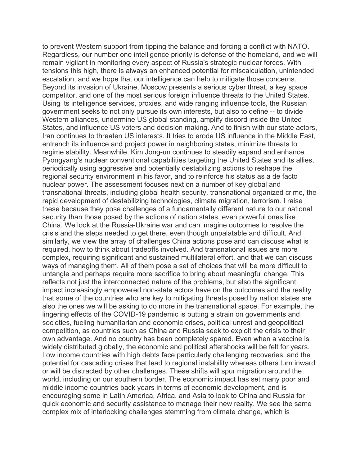to prevent Western support from tipping the balance and forcing a conflict with NATO. Regardless, our number one intelligence priority is defense of the homeland, and we will remain vigilant in monitoring every aspect of Russia's strategic nuclear forces. With tensions this high, there is always an enhanced potential for miscalculation, unintended escalation, and we hope that our intelligence can help to mitigate those concerns. Beyond its invasion of Ukraine, Moscow presents a serious cyber threat, a key space competitor, and one of the most serious foreign influence threats to the United States. Using its intelligence services, proxies, and wide ranging influence tools, the Russian government seeks to not only pursue its own interests, but also to define -- to divide Western alliances, undermine US global standing, amplify discord inside the United States, and influence US voters and decision making. And to finish with our state actors, Iran continues to threaten US interests. It tries to erode US influence in the Middle East, entrench its influence and project power in neighboring states, minimize threats to regime stability. Meanwhile, Kim Jong-un continues to steadily expand and enhance Pyongyang's nuclear conventional capabilities targeting the United States and its allies, periodically using aggressive and potentially destabilizing actions to reshape the regional security environment in his favor, and to reinforce his status as a de facto nuclear power. The assessment focuses next on a number of key global and transnational threats, including global health security, transnational organized crime, the rapid development of destabilizing technologies, climate migration, terrorism. I raise these because they pose challenges of a fundamentally different nature to our national security than those posed by the actions of nation states, even powerful ones like China. We look at the Russia-Ukraine war and can imagine outcomes to resolve the crisis and the steps needed to get there, even though unpalatable and difficult. And similarly, we view the array of challenges China actions pose and can discuss what is required, how to think about tradeoffs involved. And transnational issues are more complex, requiring significant and sustained multilateral effort, and that we can discuss ways of managing them. All of them pose a set of choices that will be more difficult to untangle and perhaps require more sacrifice to bring about meaningful change. This reflects not just the interconnected nature of the problems, but also the significant impact increasingly empowered non-state actors have on the outcomes and the reality that some of the countries who are key to mitigating threats posed by nation states are also the ones we will be asking to do more in the transnational space. For example, the lingering effects of the COVID-19 pandemic is putting a strain on governments and societies, fueling humanitarian and economic crises, political unrest and geopolitical competition, as countries such as China and Russia seek to exploit the crisis to their own advantage. And no country has been completely spared. Even when a vaccine is widely distributed globally, the economic and political aftershocks will be felt for years. Low income countries with high debts face particularly challenging recoveries, and the potential for cascading crises that lead to regional instability whereas others turn inward or will be distracted by other challenges. These shifts will spur migration around the world, including on our southern border. The economic impact has set many poor and middle income countries back years in terms of economic development, and is encouraging some in Latin America, Africa, and Asia to look to China and Russia for quick economic and security assistance to manage their new reality. We see the same complex mix of interlocking challenges stemming from climate change, which is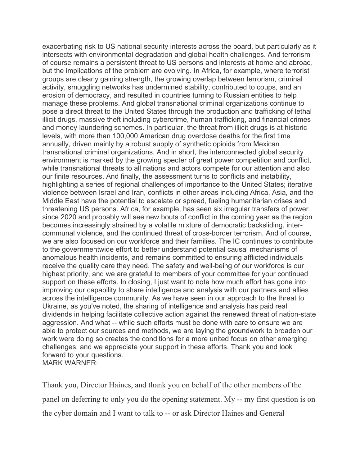exacerbating risk to US national security interests across the board, but particularly as it intersects with environmental degradation and global health challenges. And terrorism of course remains a persistent threat to US persons and interests at home and abroad, but the implications of the problem are evolving. In Africa, for example, where terrorist groups are clearly gaining strength, the growing overlap between terrorism, criminal activity, smuggling networks has undermined stability, contributed to coups, and an erosion of democracy, and resulted in countries turning to Russian entities to help manage these problems. And global transnational criminal organizations continue to pose a direct threat to the United States through the production and trafficking of lethal illicit drugs, massive theft including cybercrime, human trafficking, and financial crimes and money laundering schemes. In particular, the threat from illicit drugs is at historic levels, with more than 100,000 American drug overdose deaths for the first time annually, driven mainly by a robust supply of synthetic opioids from Mexican transnational criminal organizations. And in short, the interconnected global security environment is marked by the growing specter of great power competition and conflict, while transnational threats to all nations and actors compete for our attention and also our finite resources. And finally, the assessment turns to conflicts and instability, highlighting a series of regional challenges of importance to the United States; iterative violence between Israel and Iran, conflicts in other areas including Africa, Asia, and the Middle East have the potential to escalate or spread, fueling humanitarian crises and threatening US persons. Africa, for example, has seen six irregular transfers of power since 2020 and probably will see new bouts of conflict in the coming year as the region becomes increasingly strained by a volatile mixture of democratic backsliding, intercommunal violence, and the continued threat of cross-border terrorism. And of course, we are also focused on our workforce and their families. The IC continues to contribute to the governmentwide effort to better understand potential causal mechanisms of anomalous health incidents, and remains committed to ensuring afflicted individuals receive the quality care they need. The safety and well-being of our workforce is our highest priority, and we are grateful to members of your committee for your continued support on these efforts. In closing, I just want to note how much effort has gone into improving our capability to share intelligence and analysis with our partners and allies across the intelligence community. As we have seen in our approach to the threat to Ukraine, as you've noted, the sharing of intelligence and analysis has paid real dividends in helping facilitate collective action against the renewed threat of nation-state aggression. And what -- while such efforts must be done with care to ensure we are able to protect our sources and methods, we are laying the groundwork to broaden our work were doing so creates the conditions for a more united focus on other emerging challenges, and we appreciate your support in these efforts. Thank you and look forward to your questions. MARK WARNER:

Thank you, Director Haines, and thank you on behalf of the other members of the panel on deferring to only you do the opening statement. My -- my first question is on the cyber domain and I want to talk to -- or ask Director Haines and General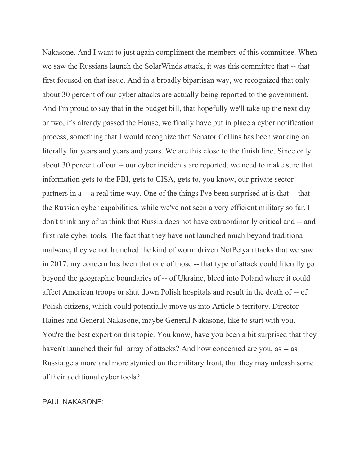Nakasone. And I want to just again compliment the members of this committee. When we saw the Russians launch the SolarWinds attack, it was this committee that -- that first focused on that issue. And in a broadly bipartisan way, we recognized that only about 30 percent of our cyber attacks are actually being reported to the government. And I'm proud to say that in the budget bill, that hopefully we'll take up the next day or two, it's already passed the House, we finally have put in place a cyber notification process, something that I would recognize that Senator Collins has been working on literally for years and years and years. We are this close to the finish line. Since only about 30 percent of our -- our cyber incidents are reported, we need to make sure that information gets to the FBI, gets to CISA, gets to, you know, our private sector partners in a -- a real time way. One of the things I've been surprised at is that -- that the Russian cyber capabilities, while we've not seen a very efficient military so far, I don't think any of us think that Russia does not have extraordinarily critical and -- and first rate cyber tools. The fact that they have not launched much beyond traditional malware, they've not launched the kind of worm driven NotPetya attacks that we saw in 2017, my concern has been that one of those -- that type of attack could literally go beyond the geographic boundaries of -- of Ukraine, bleed into Poland where it could affect American troops or shut down Polish hospitals and result in the death of -- of Polish citizens, which could potentially move us into Article 5 territory. Director Haines and General Nakasone, maybe General Nakasone, like to start with you. You're the best expert on this topic. You know, have you been a bit surprised that they haven't launched their full array of attacks? And how concerned are you, as -- as Russia gets more and more stymied on the military front, that they may unleash some of their additional cyber tools?

# PAUL NAKASONE: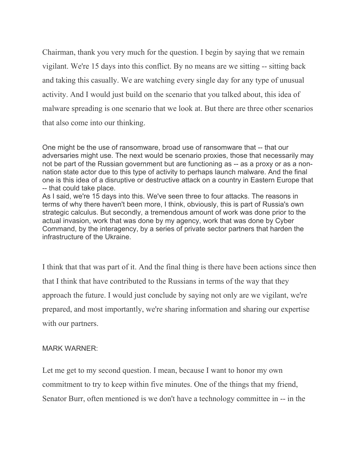Chairman, thank you very much for the question. I begin by saying that we remain vigilant. We're 15 days into this conflict. By no means are we sitting -- sitting back and taking this casually. We are watching every single day for any type of unusual activity. And I would just build on the scenario that you talked about, this idea of malware spreading is one scenario that we look at. But there are three other scenarios that also come into our thinking.

One might be the use of ransomware, broad use of ransomware that -- that our adversaries might use. The next would be scenario proxies, those that necessarily may not be part of the Russian government but are functioning as -- as a proxy or as a nonnation state actor due to this type of activity to perhaps launch malware. And the final one is this idea of a disruptive or destructive attack on a country in Eastern Europe that -- that could take place.

As I said, we're 15 days into this. We've seen three to four attacks. The reasons in terms of why there haven't been more, I think, obviously, this is part of Russia's own strategic calculus. But secondly, a tremendous amount of work was done prior to the actual invasion, work that was done by my agency, work that was done by Cyber Command, by the interagency, by a series of private sector partners that harden the infrastructure of the Ukraine.

I think that that was part of it. And the final thing is there have been actions since then that I think that have contributed to the Russians in terms of the way that they approach the future. I would just conclude by saying not only are we vigilant, we're prepared, and most importantly, we're sharing information and sharing our expertise with our partners.

# MARK WARNER:

Let me get to my second question. I mean, because I want to honor my own commitment to try to keep within five minutes. One of the things that my friend, Senator Burr, often mentioned is we don't have a technology committee in -- in the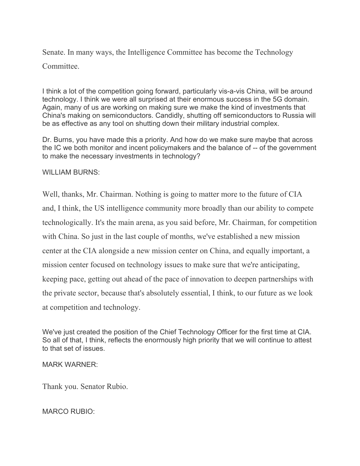Senate. In many ways, the Intelligence Committee has become the Technology Committee.

I think a lot of the competition going forward, particularly vis-a-vis China, will be around technology. I think we were all surprised at their enormous success in the 5G domain. Again, many of us are working on making sure we make the kind of investments that China's making on semiconductors. Candidly, shutting off semiconductors to Russia will be as effective as any tool on shutting down their military industrial complex.

Dr. Burns, you have made this a priority. And how do we make sure maybe that across the IC we both monitor and incent policymakers and the balance of -- of the government to make the necessary investments in technology?

WILLIAM BURNS:

Well, thanks, Mr. Chairman. Nothing is going to matter more to the future of CIA and, I think, the US intelligence community more broadly than our ability to compete technologically. It's the main arena, as you said before, Mr. Chairman, for competition with China. So just in the last couple of months, we've established a new mission center at the CIA alongside a new mission center on China, and equally important, a mission center focused on technology issues to make sure that we're anticipating, keeping pace, getting out ahead of the pace of innovation to deepen partnerships with the private sector, because that's absolutely essential, I think, to our future as we look at competition and technology.

We've just created the position of the Chief Technology Officer for the first time at CIA. So all of that, I think, reflects the enormously high priority that we will continue to attest to that set of issues.

# MARK WARNER:

Thank you. Senator Rubio.

MARCO RUBIO: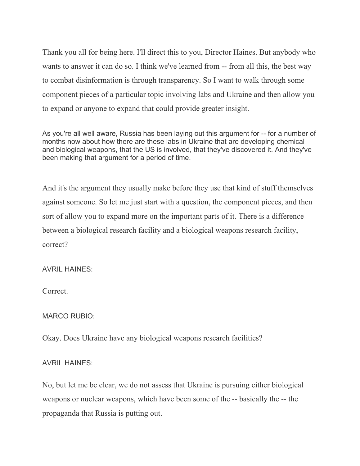Thank you all for being here. I'll direct this to you, Director Haines. But anybody who wants to answer it can do so. I think we've learned from -- from all this, the best way to combat disinformation is through transparency. So I want to walk through some component pieces of a particular topic involving labs and Ukraine and then allow you to expand or anyone to expand that could provide greater insight.

As you're all well aware, Russia has been laying out this argument for -- for a number of months now about how there are these labs in Ukraine that are developing chemical and biological weapons, that the US is involved, that they've discovered it. And they've been making that argument for a period of time.

And it's the argument they usually make before they use that kind of stuff themselves against someone. So let me just start with a question, the component pieces, and then sort of allow you to expand more on the important parts of it. There is a difference between a biological research facility and a biological weapons research facility, correct?

# AVRIL HAINES:

Correct.

# MARCO RUBIO:

Okay. Does Ukraine have any biological weapons research facilities?

# AVRIL HAINES:

No, but let me be clear, we do not assess that Ukraine is pursuing either biological weapons or nuclear weapons, which have been some of the -- basically the -- the propaganda that Russia is putting out.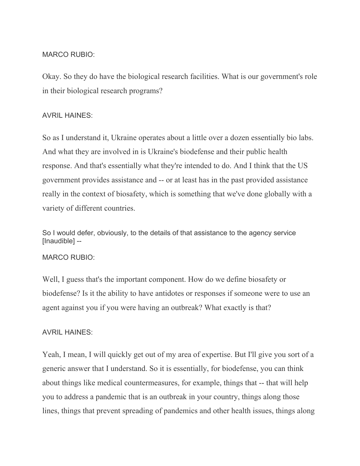## MARCO RUBIO:

Okay. So they do have the biological research facilities. What is our government's role in their biological research programs?

## AVRIL HAINES:

So as I understand it, Ukraine operates about a little over a dozen essentially bio labs. And what they are involved in is Ukraine's biodefense and their public health response. And that's essentially what they're intended to do. And I think that the US government provides assistance and -- or at least has in the past provided assistance really in the context of biosafety, which is something that we've done globally with a variety of different countries.

So I would defer, obviously, to the details of that assistance to the agency service [Inaudible] --

#### MARCO RUBIO:

Well, I guess that's the important component. How do we define biosafety or biodefense? Is it the ability to have antidotes or responses if someone were to use an agent against you if you were having an outbreak? What exactly is that?

# AVRIL HAINES:

Yeah, I mean, I will quickly get out of my area of expertise. But I'll give you sort of a generic answer that I understand. So it is essentially, for biodefense, you can think about things like medical countermeasures, for example, things that -- that will help you to address a pandemic that is an outbreak in your country, things along those lines, things that prevent spreading of pandemics and other health issues, things along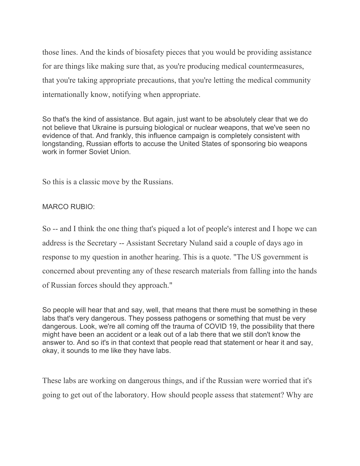those lines. And the kinds of biosafety pieces that you would be providing assistance for are things like making sure that, as you're producing medical countermeasures, that you're taking appropriate precautions, that you're letting the medical community internationally know, notifying when appropriate.

So that's the kind of assistance. But again, just want to be absolutely clear that we do not believe that Ukraine is pursuing biological or nuclear weapons, that we've seen no evidence of that. And frankly, this influence campaign is completely consistent with longstanding, Russian efforts to accuse the United States of sponsoring bio weapons work in former Soviet Union.

So this is a classic move by the Russians.

MARCO RUBIO:

So -- and I think the one thing that's piqued a lot of people's interest and I hope we can address is the Secretary -- Assistant Secretary Nuland said a couple of days ago in response to my question in another hearing. This is a quote. "The US government is concerned about preventing any of these research materials from falling into the hands of Russian forces should they approach."

So people will hear that and say, well, that means that there must be something in these labs that's very dangerous. They possess pathogens or something that must be very dangerous. Look, we're all coming off the trauma of COVID 19, the possibility that there might have been an accident or a leak out of a lab there that we still don't know the answer to. And so it's in that context that people read that statement or hear it and say, okay, it sounds to me like they have labs.

These labs are working on dangerous things, and if the Russian were worried that it's going to get out of the laboratory. How should people assess that statement? Why are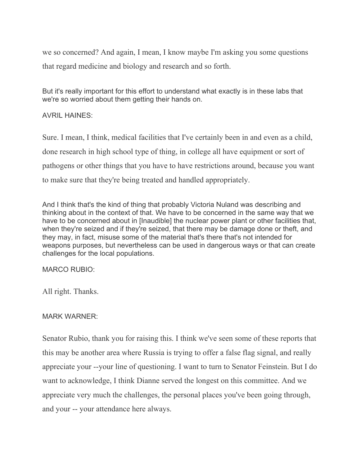we so concerned? And again, I mean, I know maybe I'm asking you some questions that regard medicine and biology and research and so forth.

But it's really important for this effort to understand what exactly is in these labs that we're so worried about them getting their hands on.

AVRIL HAINES:

Sure. I mean, I think, medical facilities that I've certainly been in and even as a child, done research in high school type of thing, in college all have equipment or sort of pathogens or other things that you have to have restrictions around, because you want to make sure that they're being treated and handled appropriately.

And I think that's the kind of thing that probably Victoria Nuland was describing and thinking about in the context of that. We have to be concerned in the same way that we have to be concerned about in [Inaudible] the nuclear power plant or other facilities that, when they're seized and if they're seized, that there may be damage done or theft, and they may, in fact, misuse some of the material that's there that's not intended for weapons purposes, but nevertheless can be used in dangerous ways or that can create challenges for the local populations.

MARCO RUBIO:

All right. Thanks.

# MARK WARNER:

Senator Rubio, thank you for raising this. I think we've seen some of these reports that this may be another area where Russia is trying to offer a false flag signal, and really appreciate your --your line of questioning. I want to turn to Senator Feinstein. But I do want to acknowledge, I think Dianne served the longest on this committee. And we appreciate very much the challenges, the personal places you've been going through, and your -- your attendance here always.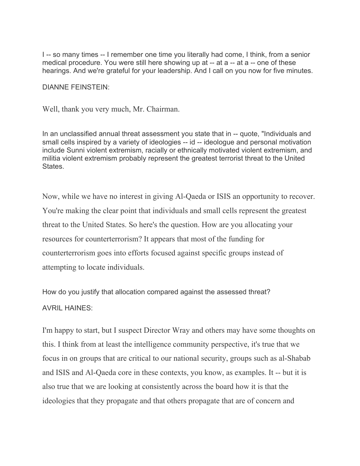I -- so many times -- I remember one time you literally had come, I think, from a senior medical procedure. You were still here showing up at -- at a -- at a -- one of these hearings. And we're grateful for your leadership. And I call on you now for five minutes.

DIANNE FEINSTEIN:

Well, thank you very much, Mr. Chairman.

In an unclassified annual threat assessment you state that in -- quote, "Individuals and small cells inspired by a variety of ideologies -- id -- ideologue and personal motivation include Sunni violent extremism, racially or ethnically motivated violent extremism, and militia violent extremism probably represent the greatest terrorist threat to the United **States** 

Now, while we have no interest in giving Al-Qaeda or ISIS an opportunity to recover. You're making the clear point that individuals and small cells represent the greatest threat to the United States. So here's the question. How are you allocating your resources for counterterrorism? It appears that most of the funding for counterterrorism goes into efforts focused against specific groups instead of attempting to locate individuals.

How do you justify that allocation compared against the assessed threat?

# AVRIL HAINES:

I'm happy to start, but I suspect Director Wray and others may have some thoughts on this. I think from at least the intelligence community perspective, it's true that we focus in on groups that are critical to our national security, groups such as al-Shabab and ISIS and Al-Qaeda core in these contexts, you know, as examples. It -- but it is also true that we are looking at consistently across the board how it is that the ideologies that they propagate and that others propagate that are of concern and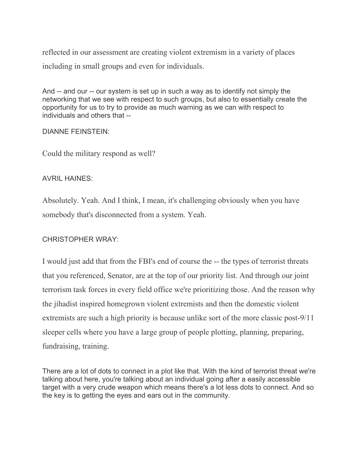reflected in our assessment are creating violent extremism in a variety of places including in small groups and even for individuals.

And -- and our -- our system is set up in such a way as to identify not simply the networking that we see with respect to such groups, but also to essentially create the opportunity for us to try to provide as much warning as we can with respect to individuals and others that --

# DIANNE FEINSTEIN:

Could the military respond as well?

# AVRIL HAINES:

Absolutely. Yeah. And I think, I mean, it's challenging obviously when you have somebody that's disconnected from a system. Yeah.

# CHRISTOPHER WRAY:

I would just add that from the FBI's end of course the -- the types of terrorist threats that you referenced, Senator, are at the top of our priority list. And through our joint terrorism task forces in every field office we're prioritizing those. And the reason why the jihadist inspired homegrown violent extremists and then the domestic violent extremists are such a high priority is because unlike sort of the more classic post-9/11 sleeper cells where you have a large group of people plotting, planning, preparing, fundraising, training.

There are a lot of dots to connect in a plot like that. With the kind of terrorist threat we're talking about here, you're talking about an individual going after a easily accessible target with a very crude weapon which means there's a lot less dots to connect. And so the key is to getting the eyes and ears out in the community.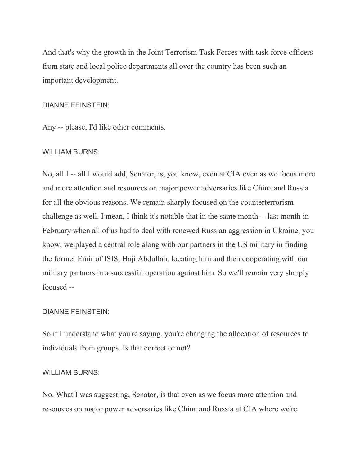And that's why the growth in the Joint Terrorism Task Forces with task force officers from state and local police departments all over the country has been such an important development.

## DIANNE FEINSTEIN:

Any -- please, I'd like other comments.

# WILLIAM BURNS:

No, all I -- all I would add, Senator, is, you know, even at CIA even as we focus more and more attention and resources on major power adversaries like China and Russia for all the obvious reasons. We remain sharply focused on the counterterrorism challenge as well. I mean, I think it's notable that in the same month -- last month in February when all of us had to deal with renewed Russian aggression in Ukraine, you know, we played a central role along with our partners in the US military in finding the former Emir of ISIS, Haji Abdullah, locating him and then cooperating with our military partners in a successful operation against him. So we'll remain very sharply focused --

# DIANNE FEINSTEIN:

So if I understand what you're saying, you're changing the allocation of resources to individuals from groups. Is that correct or not?

# WILLIAM BURNS:

No. What I was suggesting, Senator, is that even as we focus more attention and resources on major power adversaries like China and Russia at CIA where we're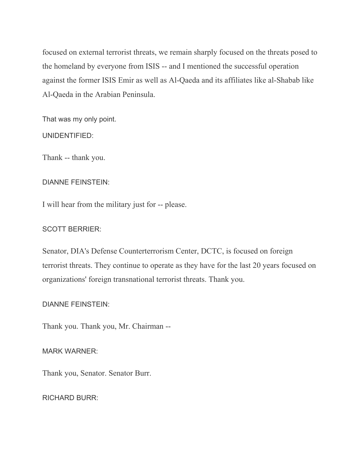focused on external terrorist threats, we remain sharply focused on the threats posed to the homeland by everyone from ISIS -- and I mentioned the successful operation against the former ISIS Emir as well as Al-Qaeda and its affiliates like al-Shabab like Al-Qaeda in the Arabian Peninsula.

That was my only point.

UNIDENTIFIED:

Thank -- thank you.

# DIANNE FEINSTEIN:

I will hear from the military just for -- please.

# SCOTT BERRIER:

Senator, DIA's Defense Counterterrorism Center, DCTC, is focused on foreign terrorist threats. They continue to operate as they have for the last 20 years focused on organizations' foreign transnational terrorist threats. Thank you.

# DIANNE FEINSTEIN:

Thank you. Thank you, Mr. Chairman --

MARK WARNER:

Thank you, Senator. Senator Burr.

RICHARD BURR: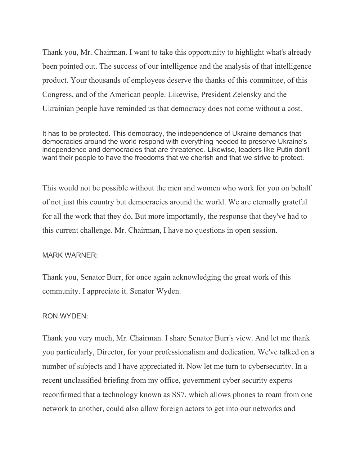Thank you, Mr. Chairman. I want to take this opportunity to highlight what's already been pointed out. The success of our intelligence and the analysis of that intelligence product. Your thousands of employees deserve the thanks of this committee, of this Congress, and of the American people. Likewise, President Zelensky and the Ukrainian people have reminded us that democracy does not come without a cost.

It has to be protected. This democracy, the independence of Ukraine demands that democracies around the world respond with everything needed to preserve Ukraine's independence and democracies that are threatened. Likewise, leaders like Putin don't want their people to have the freedoms that we cherish and that we strive to protect.

This would not be possible without the men and women who work for you on behalf of not just this country but democracies around the world. We are eternally grateful for all the work that they do, But more importantly, the response that they've had to this current challenge. Mr. Chairman, I have no questions in open session.

# MARK WARNER:

Thank you, Senator Burr, for once again acknowledging the great work of this community. I appreciate it. Senator Wyden.

# RON WYDEN:

Thank you very much, Mr. Chairman. I share Senator Burr's view. And let me thank you particularly, Director, for your professionalism and dedication. We've talked on a number of subjects and I have appreciated it. Now let me turn to cybersecurity. In a recent unclassified briefing from my office, government cyber security experts reconfirmed that a technology known as SS7, which allows phones to roam from one network to another, could also allow foreign actors to get into our networks and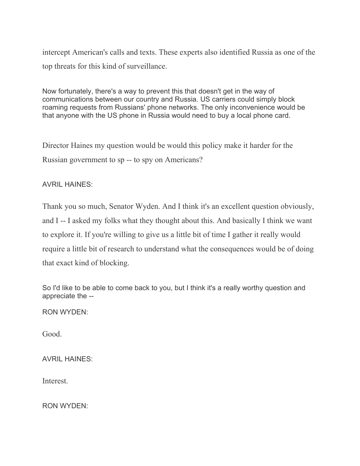intercept American's calls and texts. These experts also identified Russia as one of the top threats for this kind of surveillance.

Now fortunately, there's a way to prevent this that doesn't get in the way of communications between our country and Russia. US carriers could simply block roaming requests from Russians' phone networks. The only inconvenience would be that anyone with the US phone in Russia would need to buy a local phone card.

Director Haines my question would be would this policy make it harder for the Russian government to sp -- to spy on Americans?

AVRIL HAINES:

Thank you so much, Senator Wyden. And I think it's an excellent question obviously, and I -- I asked my folks what they thought about this. And basically I think we want to explore it. If you're willing to give us a little bit of time I gather it really would require a little bit of research to understand what the consequences would be of doing that exact kind of blocking.

So I'd like to be able to come back to you, but I think it's a really worthy question and appreciate the --

RON WYDEN:

Good.

AVRIL HAINES:

Interest.

RON WYDEN: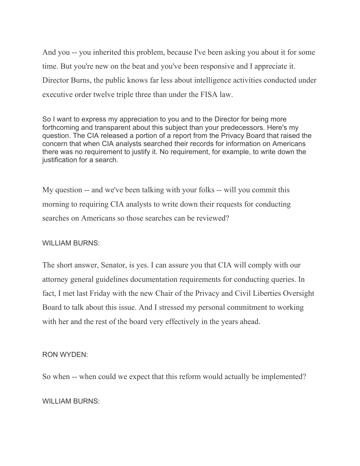And you -- you inherited this problem, because I've been asking you about it for some time. But you're new on the beat and you've been responsive and I appreciate it. Director Burns, the public knows far less about intelligence activities conducted under executive order twelve triple three than under the FISA law.

So I want to express my appreciation to you and to the Director for being more forthcoming and transparent about this subject than your predecessors. Here's my question. The CIA released a portion of a report from the Privacy Board that raised the concern that when CIA analysts searched their records for information on Americans there was no requirement to justify it. No requirement, for example, to write down the justification for a search.

My question -- and we've been talking with your folks -- will you commit this morning to requiring CIA analysts to write down their requests for conducting searches on Americans so those searches can be reviewed?

# WILLIAM BURNS:

The short answer, Senator, is yes. I can assure you that CIA will comply with our attorney general guidelines documentation requirements for conducting queries. In fact, I met last Friday with the new Chair of the Privacy and Civil Liberties Oversight Board to talk about this issue. And I stressed my personal commitment to working with her and the rest of the board very effectively in the years ahead.

#### RON WYDEN:

So when -- when could we expect that this reform would actually be implemented?

# WILLIAM BURNS: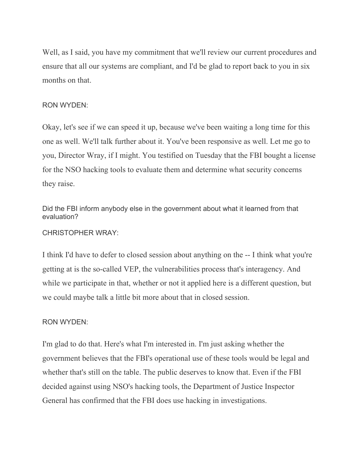Well, as I said, you have my commitment that we'll review our current procedures and ensure that all our systems are compliant, and I'd be glad to report back to you in six months on that.

#### RON WYDEN:

Okay, let's see if we can speed it up, because we've been waiting a long time for this one as well. We'll talk further about it. You've been responsive as well. Let me go to you, Director Wray, if I might. You testified on Tuesday that the FBI bought a license for the NSO hacking tools to evaluate them and determine what security concerns they raise.

Did the FBI inform anybody else in the government about what it learned from that evaluation?

CHRISTOPHER WRAY:

I think I'd have to defer to closed session about anything on the -- I think what you're getting at is the so-called VEP, the vulnerabilities process that's interagency. And while we participate in that, whether or not it applied here is a different question, but we could maybe talk a little bit more about that in closed session.

# RON WYDEN:

I'm glad to do that. Here's what I'm interested in. I'm just asking whether the government believes that the FBI's operational use of these tools would be legal and whether that's still on the table. The public deserves to know that. Even if the FBI decided against using NSO's hacking tools, the Department of Justice Inspector General has confirmed that the FBI does use hacking in investigations.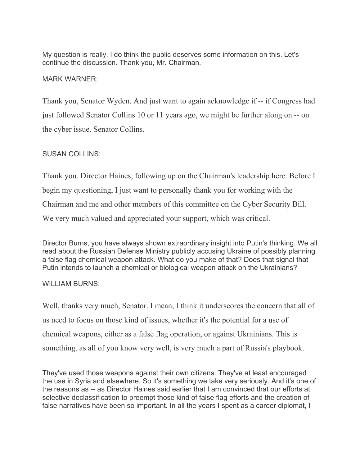My question is really, I do think the public deserves some information on this. Let's continue the discussion. Thank you, Mr. Chairman.

# MARK WARNER:

Thank you, Senator Wyden. And just want to again acknowledge if -- if Congress had just followed Senator Collins 10 or 11 years ago, we might be further along on -- on the cyber issue. Senator Collins.

# SUSAN COLLINS:

Thank you. Director Haines, following up on the Chairman's leadership here. Before I begin my questioning, I just want to personally thank you for working with the Chairman and me and other members of this committee on the Cyber Security Bill. We very much valued and appreciated your support, which was critical.

Director Burns, you have always shown extraordinary insight into Putin's thinking. We all read about the Russian Defense Ministry publicly accusing Ukraine of possibly planning a false flag chemical weapon attack. What do you make of that? Does that signal that Putin intends to launch a chemical or biological weapon attack on the Ukrainians?

# WILLIAM BURNS:

Well, thanks very much, Senator. I mean, I think it underscores the concern that all of us need to focus on those kind of issues, whether it's the potential for a use of chemical weapons, either as a false flag operation, or against Ukrainians. This is something, as all of you know very well, is very much a part of Russia's playbook.

They've used those weapons against their own citizens. They've at least encouraged the use in Syria and elsewhere. So it's something we take very seriously. And it's one of the reasons as -- as Director Haines said earlier that I am convinced that our efforts at selective declassification to preempt those kind of false flag efforts and the creation of false narratives have been so important. In all the years I spent as a career diplomat, I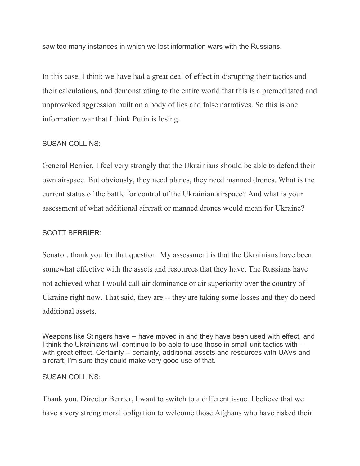saw too many instances in which we lost information wars with the Russians.

In this case, I think we have had a great deal of effect in disrupting their tactics and their calculations, and demonstrating to the entire world that this is a premeditated and unprovoked aggression built on a body of lies and false narratives. So this is one information war that I think Putin is losing.

# SUSAN COLLINS:

General Berrier, I feel very strongly that the Ukrainians should be able to defend their own airspace. But obviously, they need planes, they need manned drones. What is the current status of the battle for control of the Ukrainian airspace? And what is your assessment of what additional aircraft or manned drones would mean for Ukraine?

# SCOTT BERRIER:

Senator, thank you for that question. My assessment is that the Ukrainians have been somewhat effective with the assets and resources that they have. The Russians have not achieved what I would call air dominance or air superiority over the country of Ukraine right now. That said, they are -- they are taking some losses and they do need additional assets.

Weapons like Stingers have -- have moved in and they have been used with effect, and I think the Ukrainians will continue to be able to use those in small unit tactics with - with great effect. Certainly -- certainly, additional assets and resources with UAVs and aircraft, I'm sure they could make very good use of that.

# SUSAN COLLINS:

Thank you. Director Berrier, I want to switch to a different issue. I believe that we have a very strong moral obligation to welcome those Afghans who have risked their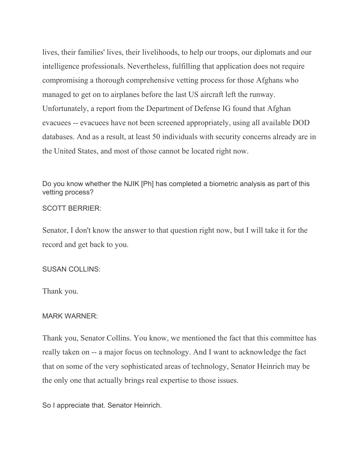lives, their families' lives, their livelihoods, to help our troops, our diplomats and our intelligence professionals. Nevertheless, fulfilling that application does not require compromising a thorough comprehensive vetting process for those Afghans who managed to get on to airplanes before the last US aircraft left the runway. Unfortunately, a report from the Department of Defense IG found that Afghan evacuees -- evacuees have not been screened appropriately, using all available DOD databases. And as a result, at least 50 individuals with security concerns already are in the United States, and most of those cannot be located right now.

Do you know whether the NJIK [Ph] has completed a biometric analysis as part of this vetting process?

#### SCOTT BERRIER:

Senator, I don't know the answer to that question right now, but I will take it for the record and get back to you.

#### SUSAN COLLINS:

Thank you.

#### MARK WARNER:

Thank you, Senator Collins. You know, we mentioned the fact that this committee has really taken on -- a major focus on technology. And I want to acknowledge the fact that on some of the very sophisticated areas of technology, Senator Heinrich may be the only one that actually brings real expertise to those issues.

So I appreciate that. Senator Heinrich.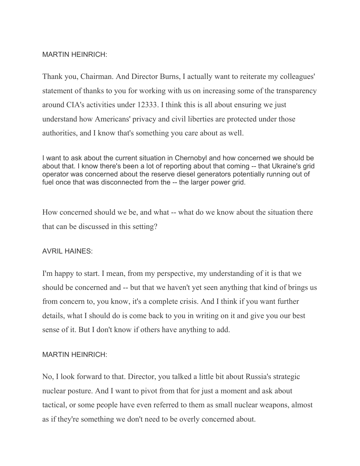# MARTIN HEINRICH:

Thank you, Chairman. And Director Burns, I actually want to reiterate my colleagues' statement of thanks to you for working with us on increasing some of the transparency around CIA's activities under 12333. I think this is all about ensuring we just understand how Americans' privacy and civil liberties are protected under those authorities, and I know that's something you care about as well.

I want to ask about the current situation in Chernobyl and how concerned we should be about that. I know there's been a lot of reporting about that coming -- that Ukraine's grid operator was concerned about the reserve diesel generators potentially running out of fuel once that was disconnected from the -- the larger power grid.

How concerned should we be, and what -- what do we know about the situation there that can be discussed in this setting?

# AVRIL HAINES:

I'm happy to start. I mean, from my perspective, my understanding of it is that we should be concerned and -- but that we haven't yet seen anything that kind of brings us from concern to, you know, it's a complete crisis. And I think if you want further details, what I should do is come back to you in writing on it and give you our best sense of it. But I don't know if others have anything to add.

# MARTIN HEINRICH:

No, I look forward to that. Director, you talked a little bit about Russia's strategic nuclear posture. And I want to pivot from that for just a moment and ask about tactical, or some people have even referred to them as small nuclear weapons, almost as if they're something we don't need to be overly concerned about.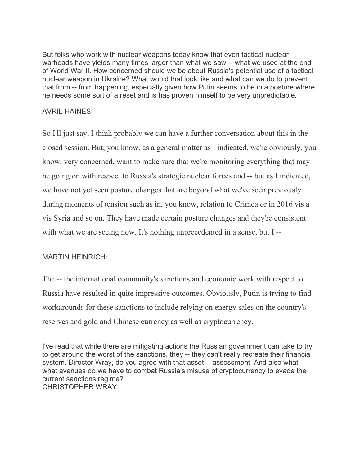But folks who work with nuclear weapons today know that even tactical nuclear warheads have yields many times larger than what we saw -- what we used at the end of World War II. How concerned should we be about Russia's potential use of a tactical nuclear weapon in Ukraine? What would that look like and what can we do to prevent that from -- from happening, especially given how Putin seems to be in a posture where he needs some sort of a reset and is has proven himself to be very unpredictable.

# AVRIL HAINES:

So I'll just say, I think probably we can have a further conversation about this in the closed session. But, you know, as a general matter as I indicated, we're obviously, you know, very concerned, want to make sure that we're monitoring everything that may be going on with respect to Russia's strategic nuclear forces and -- but as I indicated, we have not yet seen posture changes that are beyond what we've seen previously during moments of tension such as in, you know, relation to Crimea or in 2016 vis a vis Syria and so on. They have made certain posture changes and they're consistent with what we are seeing now. It's nothing unprecedented in a sense, but I --

# MARTIN HEINRICH:

The -- the international community's sanctions and economic work with respect to Russia have resulted in quite impressive outcomes. Obviously, Putin is trying to find workarounds for these sanctions to include relying on energy sales on the country's reserves and gold and Chinese currency as well as cryptocurrency.

I've read that while there are mitigating actions the Russian government can take to try to get around the worst of the sanctions, they -- they can't really recreate their financial system. Director Wray, do you agree with that asset -- assessment. And also what - what avenues do we have to combat Russia's misuse of cryptocurrency to evade the current sanctions regime? CHRISTOPHER WRAY: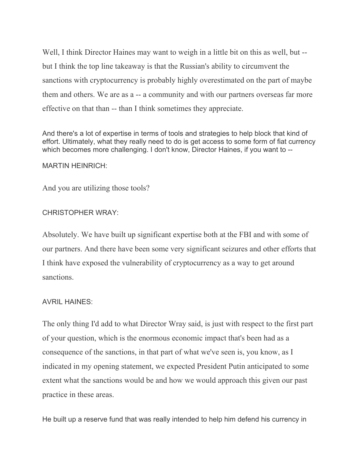Well, I think Director Haines may want to weigh in a little bit on this as well, but - but I think the top line takeaway is that the Russian's ability to circumvent the sanctions with cryptocurrency is probably highly overestimated on the part of maybe them and others. We are as a -- a community and with our partners overseas far more effective on that than -- than I think sometimes they appreciate.

And there's a lot of expertise in terms of tools and strategies to help block that kind of effort. Ultimately, what they really need to do is get access to some form of fiat currency which becomes more challenging. I don't know, Director Haines, if you want to --

#### MARTIN HEINRICH:

And you are utilizing those tools?

#### CHRISTOPHER WRAY:

Absolutely. We have built up significant expertise both at the FBI and with some of our partners. And there have been some very significant seizures and other efforts that I think have exposed the vulnerability of cryptocurrency as a way to get around sanctions.

#### AVRIL HAINES:

The only thing I'd add to what Director Wray said, is just with respect to the first part of your question, which is the enormous economic impact that's been had as a consequence of the sanctions, in that part of what we've seen is, you know, as I indicated in my opening statement, we expected President Putin anticipated to some extent what the sanctions would be and how we would approach this given our past practice in these areas.

He built up a reserve fund that was really intended to help him defend his currency in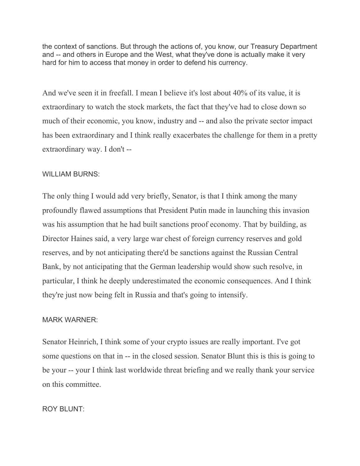the context of sanctions. But through the actions of, you know, our Treasury Department and -- and others in Europe and the West, what they've done is actually make it very hard for him to access that money in order to defend his currency.

And we've seen it in freefall. I mean I believe it's lost about 40% of its value, it is extraordinary to watch the stock markets, the fact that they've had to close down so much of their economic, you know, industry and -- and also the private sector impact has been extraordinary and I think really exacerbates the challenge for them in a pretty extraordinary way. I don't --

# WILLIAM BURNS:

The only thing I would add very briefly, Senator, is that I think among the many profoundly flawed assumptions that President Putin made in launching this invasion was his assumption that he had built sanctions proof economy. That by building, as Director Haines said, a very large war chest of foreign currency reserves and gold reserves, and by not anticipating there'd be sanctions against the Russian Central Bank, by not anticipating that the German leadership would show such resolve, in particular, I think he deeply underestimated the economic consequences. And I think they're just now being felt in Russia and that's going to intensify.

# MARK WARNER:

Senator Heinrich, I think some of your crypto issues are really important. I've got some questions on that in -- in the closed session. Senator Blunt this is this is going to be your -- your I think last worldwide threat briefing and we really thank your service on this committee.

# ROY BLUNT<sup>.</sup>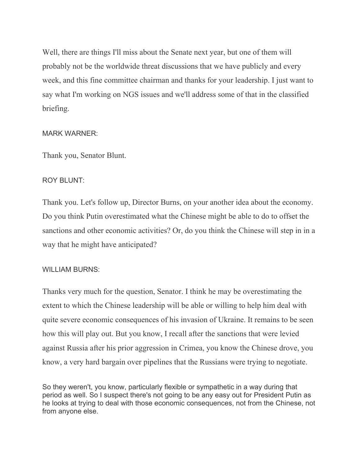Well, there are things I'll miss about the Senate next year, but one of them will probably not be the worldwide threat discussions that we have publicly and every week, and this fine committee chairman and thanks for your leadership. I just want to say what I'm working on NGS issues and we'll address some of that in the classified briefing.

# MARK WARNER:

Thank you, Senator Blunt.

# ROY BLUNT:

Thank you. Let's follow up, Director Burns, on your another idea about the economy. Do you think Putin overestimated what the Chinese might be able to do to offset the sanctions and other economic activities? Or, do you think the Chinese will step in in a way that he might have anticipated?

# WILLIAM BURNS:

Thanks very much for the question, Senator. I think he may be overestimating the extent to which the Chinese leadership will be able or willing to help him deal with quite severe economic consequences of his invasion of Ukraine. It remains to be seen how this will play out. But you know, I recall after the sanctions that were levied against Russia after his prior aggression in Crimea, you know the Chinese drove, you know, a very hard bargain over pipelines that the Russians were trying to negotiate.

So they weren't, you know, particularly flexible or sympathetic in a way during that period as well. So I suspect there's not going to be any easy out for President Putin as he looks at trying to deal with those economic consequences, not from the Chinese, not from anyone else.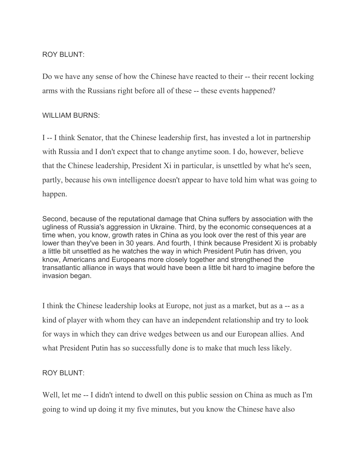# ROY BLUNT<sup>.</sup>

Do we have any sense of how the Chinese have reacted to their -- their recent locking arms with the Russians right before all of these -- these events happened?

# WILLIAM BURNS:

I -- I think Senator, that the Chinese leadership first, has invested a lot in partnership with Russia and I don't expect that to change anytime soon. I do, however, believe that the Chinese leadership, President Xi in particular, is unsettled by what he's seen, partly, because his own intelligence doesn't appear to have told him what was going to happen.

Second, because of the reputational damage that China suffers by association with the ugliness of Russia's aggression in Ukraine. Third, by the economic consequences at a time when, you know, growth rates in China as you look over the rest of this year are lower than they've been in 30 years. And fourth, I think because President Xi is probably a little bit unsettled as he watches the way in which President Putin has driven, you know, Americans and Europeans more closely together and strengthened the transatlantic alliance in ways that would have been a little bit hard to imagine before the invasion began.

I think the Chinese leadership looks at Europe, not just as a market, but as a -- as a kind of player with whom they can have an independent relationship and try to look for ways in which they can drive wedges between us and our European allies. And what President Putin has so successfully done is to make that much less likely.

# ROY BLUNT:

Well, let me -- I didn't intend to dwell on this public session on China as much as I'm going to wind up doing it my five minutes, but you know the Chinese have also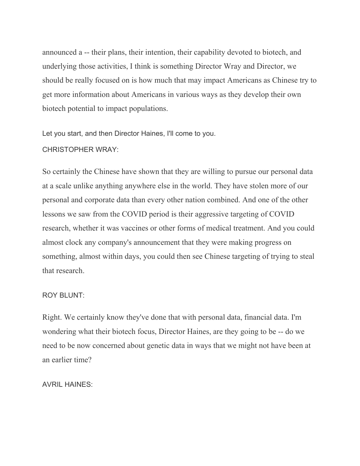announced a -- their plans, their intention, their capability devoted to biotech, and underlying those activities, I think is something Director Wray and Director, we should be really focused on is how much that may impact Americans as Chinese try to get more information about Americans in various ways as they develop their own biotech potential to impact populations.

Let you start, and then Director Haines, I'll come to you.

#### CHRISTOPHER WRAY:

So certainly the Chinese have shown that they are willing to pursue our personal data at a scale unlike anything anywhere else in the world. They have stolen more of our personal and corporate data than every other nation combined. And one of the other lessons we saw from the COVID period is their aggressive targeting of COVID research, whether it was vaccines or other forms of medical treatment. And you could almost clock any company's announcement that they were making progress on something, almost within days, you could then see Chinese targeting of trying to steal that research.

#### ROY BLUNT:

Right. We certainly know they've done that with personal data, financial data. I'm wondering what their biotech focus, Director Haines, are they going to be -- do we need to be now concerned about genetic data in ways that we might not have been at an earlier time?

## AVRIL HAINES: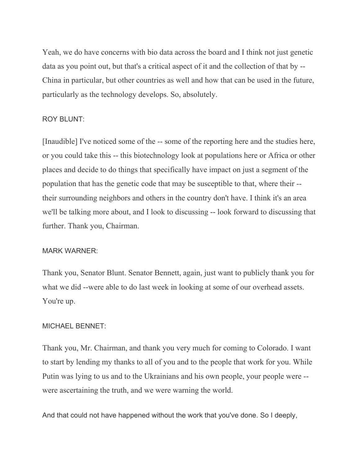Yeah, we do have concerns with bio data across the board and I think not just genetic data as you point out, but that's a critical aspect of it and the collection of that by -- China in particular, but other countries as well and how that can be used in the future, particularly as the technology develops. So, absolutely.

## ROY BLUNT:

[Inaudible] I've noticed some of the -- some of the reporting here and the studies here, or you could take this -- this biotechnology look at populations here or Africa or other places and decide to do things that specifically have impact on just a segment of the population that has the genetic code that may be susceptible to that, where their - their surrounding neighbors and others in the country don't have. I think it's an area we'll be talking more about, and I look to discussing -- look forward to discussing that further. Thank you, Chairman.

#### MARK WARNER:

Thank you, Senator Blunt. Senator Bennett, again, just want to publicly thank you for what we did --were able to do last week in looking at some of our overhead assets. You're up.

#### MICHAEL BENNET:

Thank you, Mr. Chairman, and thank you very much for coming to Colorado. I want to start by lending my thanks to all of you and to the people that work for you. While Putin was lying to us and to the Ukrainians and his own people, your people were - were ascertaining the truth, and we were warning the world.

And that could not have happened without the work that you've done. So I deeply,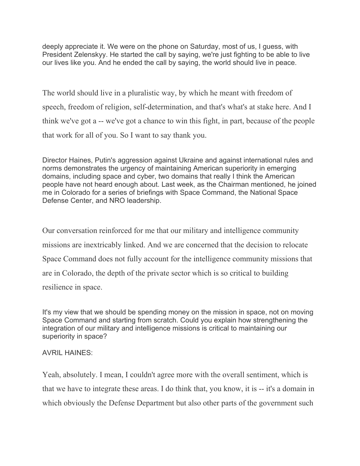deeply appreciate it. We were on the phone on Saturday, most of us, I guess, with President Zelenskyy. He started the call by saying, we're just fighting to be able to live our lives like you. And he ended the call by saying, the world should live in peace.

The world should live in a pluralistic way, by which he meant with freedom of speech, freedom of religion, self-determination, and that's what's at stake here. And I think we've got a -- we've got a chance to win this fight, in part, because of the people that work for all of you. So I want to say thank you.

Director Haines, Putin's aggression against Ukraine and against international rules and norms demonstrates the urgency of maintaining American superiority in emerging domains, including space and cyber, two domains that really I think the American people have not heard enough about. Last week, as the Chairman mentioned, he joined me in Colorado for a series of briefings with Space Command, the National Space Defense Center, and NRO leadership.

Our conversation reinforced for me that our military and intelligence community missions are inextricably linked. And we are concerned that the decision to relocate Space Command does not fully account for the intelligence community missions that are in Colorado, the depth of the private sector which is so critical to building resilience in space.

It's my view that we should be spending money on the mission in space, not on moving Space Command and starting from scratch. Could you explain how strengthening the integration of our military and intelligence missions is critical to maintaining our superiority in space?

# AVRIL HAINES:

Yeah, absolutely. I mean, I couldn't agree more with the overall sentiment, which is that we have to integrate these areas. I do think that, you know, it is -- it's a domain in which obviously the Defense Department but also other parts of the government such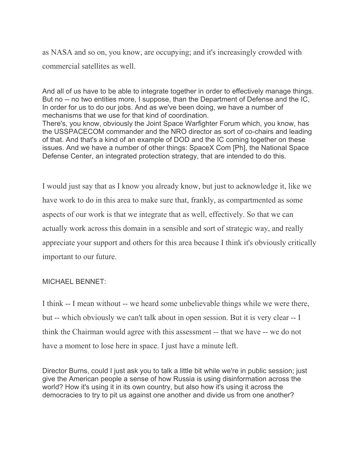as NASA and so on, you know, are occupying; and it's increasingly crowded with commercial satellites as well.

And all of us have to be able to integrate together in order to effectively manage things. But no -- no two entities more, I suppose, than the Department of Defense and the IC, In order for us to do our jobs. And as we've been doing, we have a number of mechanisms that we use for that kind of coordination. There's, you know, obviously the Joint Space Warfighter Forum which, you know, has

the USSPACECOM commander and the NRO director as sort of co-chairs and leading of that. And that's a kind of an example of DOD and the IC coming together on these issues. And we have a number of other things: SpaceX Com [Ph], the National Space Defense Center, an integrated protection strategy, that are intended to do this.

I would just say that as I know you already know, but just to acknowledge it, like we have work to do in this area to make sure that, frankly, as compartmented as some aspects of our work is that we integrate that as well, effectively. So that we can actually work across this domain in a sensible and sort of strategic way, and really appreciate your support and others for this area because I think it's obviously critically important to our future.

## MICHAEL BENNET:

I think -- I mean without -- we heard some unbelievable things while we were there, but -- which obviously we can't talk about in open session. But it is very clear -- I think the Chairman would agree with this assessment -- that we have -- we do not have a moment to lose here in space. I just have a minute left.

Director Burns, could I just ask you to talk a little bit while we're in public session; just give the American people a sense of how Russia is using disinformation across the world? How it's using it in its own country, but also how it's using it across the democracies to try to pit us against one another and divide us from one another?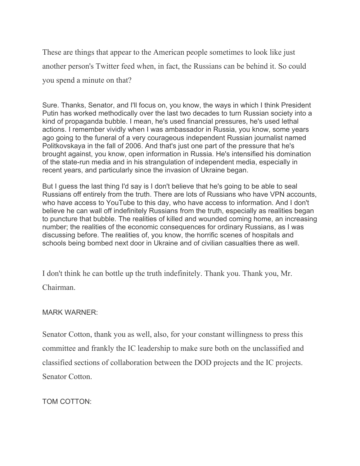These are things that appear to the American people sometimes to look like just another person's Twitter feed when, in fact, the Russians can be behind it. So could you spend a minute on that?

Sure. Thanks, Senator, and I'll focus on, you know, the ways in which I think President Putin has worked methodically over the last two decades to turn Russian society into a kind of propaganda bubble. I mean, he's used financial pressures, he's used lethal actions. I remember vividly when I was ambassador in Russia, you know, some years ago going to the funeral of a very courageous independent Russian journalist named Politkovskaya in the fall of 2006. And that's just one part of the pressure that he's brought against, you know, open information in Russia. He's intensified his domination of the state-run media and in his strangulation of independent media, especially in recent years, and particularly since the invasion of Ukraine began.

But I guess the last thing I'd say is I don't believe that he's going to be able to seal Russians off entirely from the truth. There are lots of Russians who have VPN accounts, who have access to YouTube to this day, who have access to information. And I don't believe he can wall off indefinitely Russians from the truth, especially as realities began to puncture that bubble. The realities of killed and wounded coming home, an increasing number; the realities of the economic consequences for ordinary Russians, as I was discussing before. The realities of, you know, the horrific scenes of hospitals and schools being bombed next door in Ukraine and of civilian casualties there as well.

I don't think he can bottle up the truth indefinitely. Thank you. Thank you, Mr. Chairman.

## MARK WARNER:

Senator Cotton, thank you as well, also, for your constant willingness to press this committee and frankly the IC leadership to make sure both on the unclassified and classified sections of collaboration between the DOD projects and the IC projects. Senator Cotton.

TOM COTTON: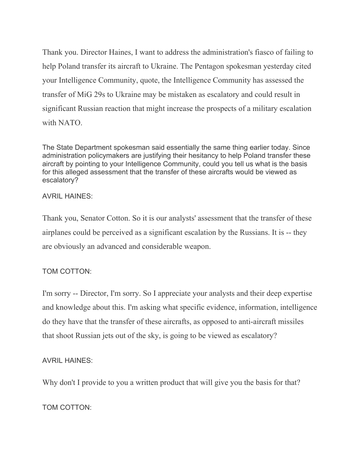Thank you. Director Haines, I want to address the administration's fiasco of failing to help Poland transfer its aircraft to Ukraine. The Pentagon spokesman yesterday cited your Intelligence Community, quote, the Intelligence Community has assessed the transfer of MiG 29s to Ukraine may be mistaken as escalatory and could result in significant Russian reaction that might increase the prospects of a military escalation with NATO.

The State Department spokesman said essentially the same thing earlier today. Since administration policymakers are justifying their hesitancy to help Poland transfer these aircraft by pointing to your Intelligence Community, could you tell us what is the basis for this alleged assessment that the transfer of these aircrafts would be viewed as escalatory?

## AVRIL HAINES:

Thank you, Senator Cotton. So it is our analysts' assessment that the transfer of these airplanes could be perceived as a significant escalation by the Russians. It is -- they are obviously an advanced and considerable weapon.

# TOM COTTON:

I'm sorry -- Director, I'm sorry. So I appreciate your analysts and their deep expertise and knowledge about this. I'm asking what specific evidence, information, intelligence do they have that the transfer of these aircrafts, as opposed to anti-aircraft missiles that shoot Russian jets out of the sky, is going to be viewed as escalatory?

# AVRIL HAINES:

Why don't I provide to you a written product that will give you the basis for that?

TOM COTTON: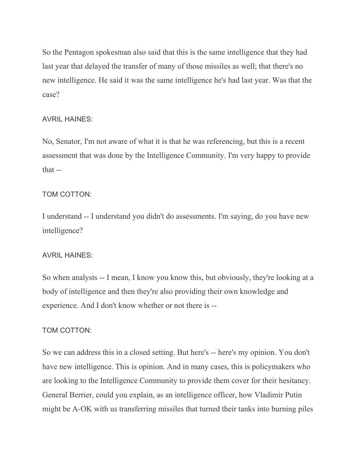So the Pentagon spokesman also said that this is the same intelligence that they had last year that delayed the transfer of many of those missiles as well; that there's no new intelligence. He said it was the same intelligence he's had last year. Was that the case?

## AVRIL HAINES:

No, Senator, I'm not aware of what it is that he was referencing, but this is a recent assessment that was done by the Intelligence Community. I'm very happy to provide that --

# TOM COTTON:

I understand -- I understand you didn't do assessments. I'm saying, do you have new intelligence?

# AVRIL HAINES:

So when analysts -- I mean, I know you know this, but obviously, they're looking at a body of intelligence and then they're also providing their own knowledge and experience. And I don't know whether or not there is --

# TOM COTTON:

So we can address this in a closed setting. But here's -- here's my opinion. You don't have new intelligence. This is opinion. And in many cases, this is policymakers who are looking to the Intelligence Community to provide them cover for their hesitancy. General Berrier, could you explain, as an intelligence officer, how Vladimir Putin might be A-OK with us transferring missiles that turned their tanks into burning piles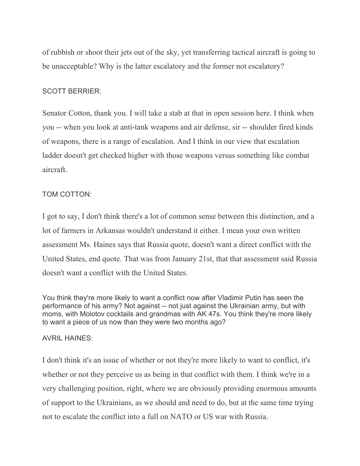of rubbish or shoot their jets out of the sky, yet transferring tactical aircraft is going to be unacceptable? Why is the latter escalatory and the former not escalatory?

### SCOTT BERRIER:

Senator Cotton, thank you. I will take a stab at that in open session here. I think when you -- when you look at anti-tank weapons and air defense, sir -- shoulder fired kinds of weapons, there is a range of escalation. And I think in our view that escalation ladder doesn't get checked higher with those weapons versus something like combat aircraft.

## TOM COTTON:

I got to say, I don't think there's a lot of common sense between this distinction, and a lot of farmers in Arkansas wouldn't understand it either. I mean your own written assessment Ms. Haines says that Russia quote, doesn't want a direct conflict with the United States, end quote. That was from January 21st, that that assessment said Russia doesn't want a conflict with the United States.

You think they're more likely to want a conflict now after Vladimir Putin has seen the performance of his army? Not against -- not just against the Ukrainian army, but with moms, with Molotov cocktails and grandmas with AK 47s. You think they're more likely to want a piece of us now than they were two months ago?

## AVRIL HAINES:

I don't think it's an issue of whether or not they're more likely to want to conflict, it's whether or not they perceive us as being in that conflict with them. I think we're in a very challenging position, right, where we are obviously providing enormous amounts of support to the Ukrainians, as we should and need to do, but at the same time trying not to escalate the conflict into a full on NATO or US war with Russia.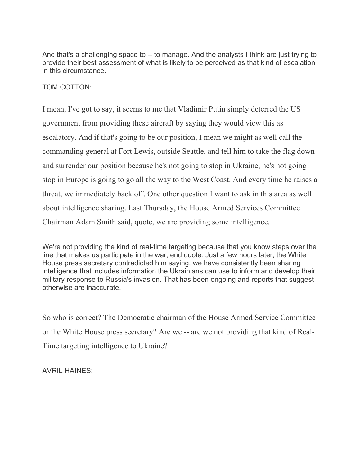And that's a challenging space to -- to manage. And the analysts I think are just trying to provide their best assessment of what is likely to be perceived as that kind of escalation in this circumstance.

## TOM COTTON:

I mean, I've got to say, it seems to me that Vladimir Putin simply deterred the US government from providing these aircraft by saying they would view this as escalatory. And if that's going to be our position, I mean we might as well call the commanding general at Fort Lewis, outside Seattle, and tell him to take the flag down and surrender our position because he's not going to stop in Ukraine, he's not going stop in Europe is going to go all the way to the West Coast. And every time he raises a threat, we immediately back off. One other question I want to ask in this area as well about intelligence sharing. Last Thursday, the House Armed Services Committee Chairman Adam Smith said, quote, we are providing some intelligence.

We're not providing the kind of real-time targeting because that you know steps over the line that makes us participate in the war, end quote. Just a few hours later, the White House press secretary contradicted him saying, we have consistently been sharing intelligence that includes information the Ukrainians can use to inform and develop their military response to Russia's invasion. That has been ongoing and reports that suggest otherwise are inaccurate.

So who is correct? The Democratic chairman of the House Armed Service Committee or the White House press secretary? Are we -- are we not providing that kind of Real-Time targeting intelligence to Ukraine?

AVRIL HAINES: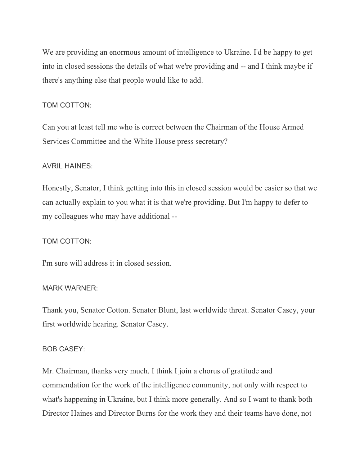We are providing an enormous amount of intelligence to Ukraine. I'd be happy to get into in closed sessions the details of what we're providing and -- and I think maybe if there's anything else that people would like to add.

## TOM COTTON:

Can you at least tell me who is correct between the Chairman of the House Armed Services Committee and the White House press secretary?

## AVRIL HAINES:

Honestly, Senator, I think getting into this in closed session would be easier so that we can actually explain to you what it is that we're providing. But I'm happy to defer to my colleagues who may have additional --

## TOM COTTON:

I'm sure will address it in closed session.

## MARK WARNER:

Thank you, Senator Cotton. Senator Blunt, last worldwide threat. Senator Casey, your first worldwide hearing. Senator Casey.

## BOB CASEY:

Mr. Chairman, thanks very much. I think I join a chorus of gratitude and commendation for the work of the intelligence community, not only with respect to what's happening in Ukraine, but I think more generally. And so I want to thank both Director Haines and Director Burns for the work they and their teams have done, not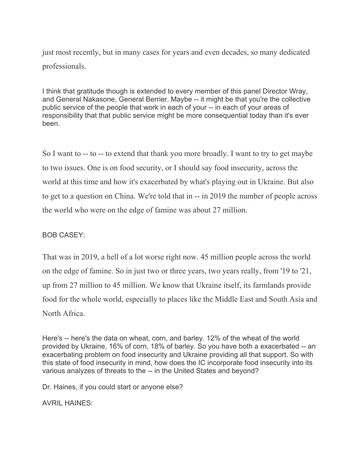just most recently, but in many cases for years and even decades, so many dedicated professionals.

I think that gratitude though is extended to every member of this panel Director Wray, and General Nakasone, General Berrier. Maybe -- it might be that you're the collective public service of the people that work in each of your -- in each of your areas of responsibility that that public service might be more consequential today than it's ever been.

So I want to -- to -- to extend that thank you more broadly. I want to try to get maybe to two issues. One is on food security, or I should say food insecurity, across the world at this time and how it's exacerbated by what's playing out in Ukraine. But also to get to a question on China. We're told that in -- in 2019 the number of people across the world who were on the edge of famine was about 27 million.

# BOB CASEY:

That was in 2019, a hell of a lot worse right now. 45 million people across the world on the edge of famine. So in just two or three years, two years really, from '19 to '21, up from 27 million to 45 million. We know that Ukraine itself, its farmlands provide food for the whole world, especially to places like the Middle East and South Asia and North Africa.

Here's -- here's the data on wheat, corn, and barley. 12% of the wheat of the world provided by Ukraine, 16% of corn, 18% of barley. So you have both a exacerbated -- an exacerbating problem on food insecurity and Ukraine providing all that support. So with this state of food insecurity in mind, how does the IC incorporate food insecurity into its various analyzes of threats to the -- in the United States and beyond?

Dr. Haines, if you could start or anyone else?

AVRIL HAINES: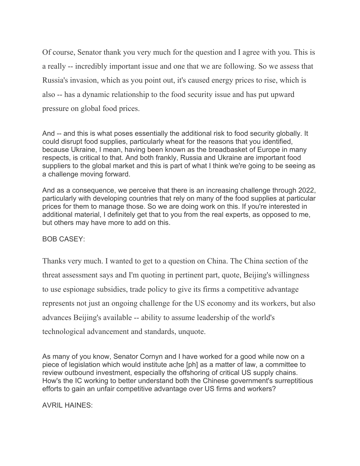Of course, Senator thank you very much for the question and I agree with you. This is a really -- incredibly important issue and one that we are following. So we assess that Russia's invasion, which as you point out, it's caused energy prices to rise, which is also -- has a dynamic relationship to the food security issue and has put upward pressure on global food prices.

And -- and this is what poses essentially the additional risk to food security globally. It could disrupt food supplies, particularly wheat for the reasons that you identified, because Ukraine, I mean, having been known as the breadbasket of Europe in many respects, is critical to that. And both frankly, Russia and Ukraine are important food suppliers to the global market and this is part of what I think we're going to be seeing as a challenge moving forward.

And as a consequence, we perceive that there is an increasing challenge through 2022, particularly with developing countries that rely on many of the food supplies at particular prices for them to manage those. So we are doing work on this. If you're interested in additional material, I definitely get that to you from the real experts, as opposed to me, but others may have more to add on this.

# BOB CASEY:

Thanks very much. I wanted to get to a question on China. The China section of the threat assessment says and I'm quoting in pertinent part, quote, Beijing's willingness to use espionage subsidies, trade policy to give its firms a competitive advantage represents not just an ongoing challenge for the US economy and its workers, but also advances Beijing's available -- ability to assume leadership of the world's technological advancement and standards, unquote.

As many of you know, Senator Cornyn and I have worked for a good while now on a piece of legislation which would institute ache [ph] as a matter of law, a committee to review outbound investment, especially the offshoring of critical US supply chains. How's the IC working to better understand both the Chinese government's surreptitious efforts to gain an unfair competitive advantage over US firms and workers?

AVRIL HAINES: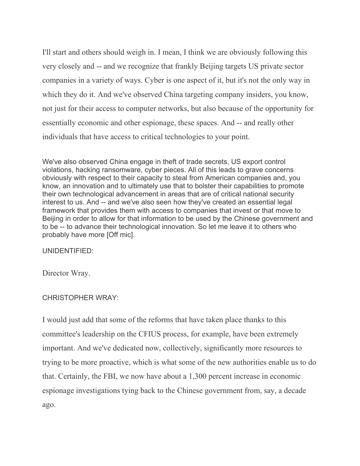I'll start and others should weigh in. I mean, I think we are obviously following this very closely and -- and we recognize that frankly Beijing targets US private sector companies in a variety of ways. Cyber is one aspect of it, but it's not the only way in which they do it. And we've observed China targeting company insiders, you know, not just for their access to computer networks, but also because of the opportunity for essentially economic and other espionage, these spaces. And -- and really other individuals that have access to critical technologies to your point.

We've also observed China engage in theft of trade secrets, US export control violations, hacking ransomware, cyber pieces. All of this leads to grave concerns obviously with respect to their capacity to steal from American companies and, you know, an innovation and to ultimately use that to bolster their capabilities to promote their own technological advancement in areas that are of critical national security interest to us. And -- and we've also seen how they've created an essential legal framework that provides them with access to companies that invest or that move to Beijing in order to allow for that information to be used by the Chinese government and to be -- to advance their technological innovation. So let me leave it to others who probably have more [Off mic].

UNIDENTIFIED:

Director Wray.

# CHRISTOPHER WRAY:

I would just add that some of the reforms that have taken place thanks to this committee's leadership on the CFIUS process, for example, have been extremely important. And we've dedicated now, collectively, significantly more resources to trying to be more proactive, which is what some of the new authorities enable us to do that. Certainly, the FBI, we now have about a 1,300 percent increase in economic espionage investigations tying back to the Chinese government from, say, a decade ago.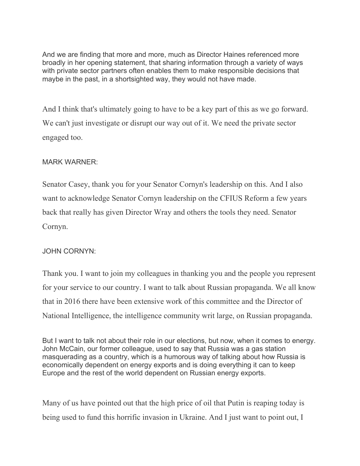And we are finding that more and more, much as Director Haines referenced more broadly in her opening statement, that sharing information through a variety of ways with private sector partners often enables them to make responsible decisions that maybe in the past, in a shortsighted way, they would not have made.

And I think that's ultimately going to have to be a key part of this as we go forward. We can't just investigate or disrupt our way out of it. We need the private sector engaged too.

# MARK WARNER:

Senator Casey, thank you for your Senator Cornyn's leadership on this. And I also want to acknowledge Senator Cornyn leadership on the CFIUS Reform a few years back that really has given Director Wray and others the tools they need. Senator Cornyn.

# JOHN CORNYN:

Thank you. I want to join my colleagues in thanking you and the people you represent for your service to our country. I want to talk about Russian propaganda. We all know that in 2016 there have been extensive work of this committee and the Director of National Intelligence, the intelligence community writ large, on Russian propaganda.

But I want to talk not about their role in our elections, but now, when it comes to energy. John McCain, our former colleague, used to say that Russia was a gas station masquerading as a country, which is a humorous way of talking about how Russia is economically dependent on energy exports and is doing everything it can to keep Europe and the rest of the world dependent on Russian energy exports.

Many of us have pointed out that the high price of oil that Putin is reaping today is being used to fund this horrific invasion in Ukraine. And I just want to point out, I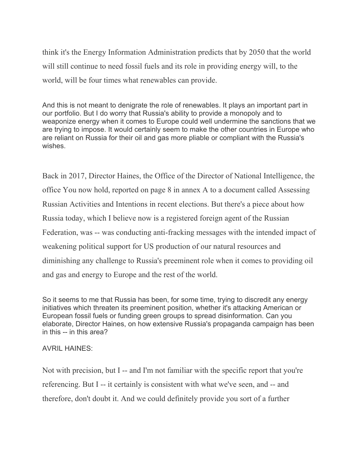think it's the Energy Information Administration predicts that by 2050 that the world will still continue to need fossil fuels and its role in providing energy will, to the world, will be four times what renewables can provide.

And this is not meant to denigrate the role of renewables. It plays an important part in our portfolio. But I do worry that Russia's ability to provide a monopoly and to weaponize energy when it comes to Europe could well undermine the sanctions that we are trying to impose. It would certainly seem to make the other countries in Europe who are reliant on Russia for their oil and gas more pliable or compliant with the Russia's wishes.

Back in 2017, Director Haines, the Office of the Director of National Intelligence, the office You now hold, reported on page 8 in annex A to a document called Assessing Russian Activities and Intentions in recent elections. But there's a piece about how Russia today, which I believe now is a registered foreign agent of the Russian Federation, was -- was conducting anti-fracking messages with the intended impact of weakening political support for US production of our natural resources and diminishing any challenge to Russia's preeminent role when it comes to providing oil and gas and energy to Europe and the rest of the world.

So it seems to me that Russia has been, for some time, trying to discredit any energy initiatives which threaten its preeminent position, whether it's attacking American or European fossil fuels or funding green groups to spread disinformation. Can you elaborate, Director Haines, on how extensive Russia's propaganda campaign has been in this -- in this area?

## AVRIL HAINES:

Not with precision, but I -- and I'm not familiar with the specific report that you're referencing. But I -- it certainly is consistent with what we've seen, and -- and therefore, don't doubt it. And we could definitely provide you sort of a further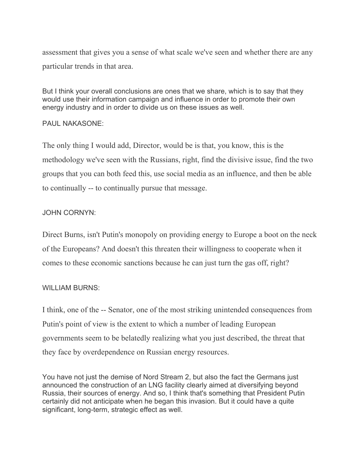assessment that gives you a sense of what scale we've seen and whether there are any particular trends in that area.

But I think your overall conclusions are ones that we share, which is to say that they would use their information campaign and influence in order to promote their own energy industry and in order to divide us on these issues as well.

## PAUL NAKASONE:

The only thing I would add, Director, would be is that, you know, this is the methodology we've seen with the Russians, right, find the divisive issue, find the two groups that you can both feed this, use social media as an influence, and then be able to continually -- to continually pursue that message.

# JOHN CORNYN:

Direct Burns, isn't Putin's monopoly on providing energy to Europe a boot on the neck of the Europeans? And doesn't this threaten their willingness to cooperate when it comes to these economic sanctions because he can just turn the gas off, right?

# WILLIAM BURNS:

I think, one of the -- Senator, one of the most striking unintended consequences from Putin's point of view is the extent to which a number of leading European governments seem to be belatedly realizing what you just described, the threat that they face by overdependence on Russian energy resources.

You have not just the demise of Nord Stream 2, but also the fact the Germans just announced the construction of an LNG facility clearly aimed at diversifying beyond Russia, their sources of energy. And so, I think that's something that President Putin certainly did not anticipate when he began this invasion. But it could have a quite significant, long-term, strategic effect as well.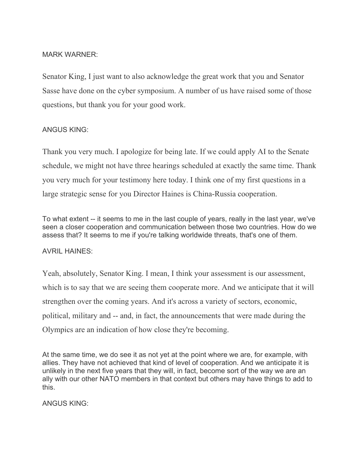### MARK WARNER:

Senator King, I just want to also acknowledge the great work that you and Senator Sasse have done on the cyber symposium. A number of us have raised some of those questions, but thank you for your good work.

## ANGUS KING:

Thank you very much. I apologize for being late. If we could apply AI to the Senate schedule, we might not have three hearings scheduled at exactly the same time. Thank you very much for your testimony here today. I think one of my first questions in a large strategic sense for you Director Haines is China-Russia cooperation.

To what extent -- it seems to me in the last couple of years, really in the last year, we've seen a closer cooperation and communication between those two countries. How do we assess that? It seems to me if you're talking worldwide threats, that's one of them.

## AVRIL HAINES:

Yeah, absolutely, Senator King. I mean, I think your assessment is our assessment, which is to say that we are seeing them cooperate more. And we anticipate that it will strengthen over the coming years. And it's across a variety of sectors, economic, political, military and -- and, in fact, the announcements that were made during the Olympics are an indication of how close they're becoming.

At the same time, we do see it as not yet at the point where we are, for example, with allies. They have not achieved that kind of level of cooperation. And we anticipate it is unlikely in the next five years that they will, in fact, become sort of the way we are an ally with our other NATO members in that context but others may have things to add to this.

ANGUS KING: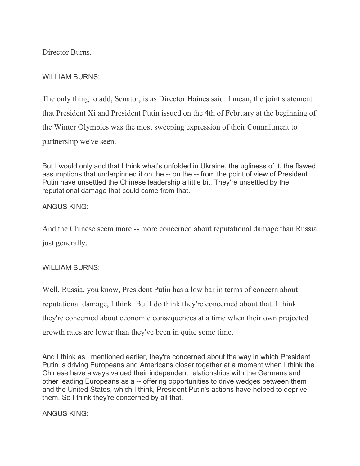Director Burns.

# WILLIAM BURNS:

The only thing to add, Senator, is as Director Haines said. I mean, the joint statement that President Xi and President Putin issued on the 4th of February at the beginning of the Winter Olympics was the most sweeping expression of their Commitment to partnership we've seen.

But I would only add that I think what's unfolded in Ukraine, the ugliness of it, the flawed assumptions that underpinned it on the -- on the -- from the point of view of President Putin have unsettled the Chinese leadership a little bit. They're unsettled by the reputational damage that could come from that.

# ANGUS KING:

And the Chinese seem more -- more concerned about reputational damage than Russia just generally.

# WILLIAM BURNS:

Well, Russia, you know, President Putin has a low bar in terms of concern about reputational damage, I think. But I do think they're concerned about that. I think they're concerned about economic consequences at a time when their own projected growth rates are lower than they've been in quite some time.

And I think as I mentioned earlier, they're concerned about the way in which President Putin is driving Europeans and Americans closer together at a moment when I think the Chinese have always valued their independent relationships with the Germans and other leading Europeans as a -- offering opportunities to drive wedges between them and the United States, which I think, President Putin's actions have helped to deprive them. So I think they're concerned by all that.

ANGUS KING: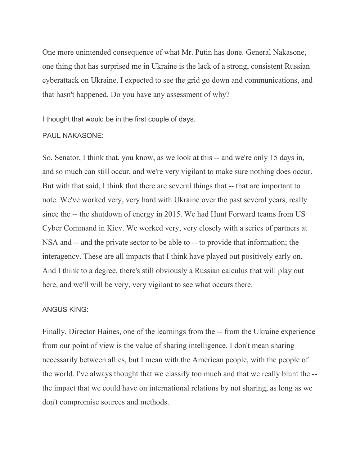One more unintended consequence of what Mr. Putin has done. General Nakasone, one thing that has surprised me in Ukraine is the lack of a strong, consistent Russian cyberattack on Ukraine. I expected to see the grid go down and communications, and that hasn't happened. Do you have any assessment of why?

I thought that would be in the first couple of days.

#### PAUL NAKASONE:

So, Senator, I think that, you know, as we look at this -- and we're only 15 days in, and so much can still occur, and we're very vigilant to make sure nothing does occur. But with that said, I think that there are several things that -- that are important to note. We've worked very, very hard with Ukraine over the past several years, really since the -- the shutdown of energy in 2015. We had Hunt Forward teams from US Cyber Command in Kiev. We worked very, very closely with a series of partners at NSA and -- and the private sector to be able to -- to provide that information; the interagency. These are all impacts that I think have played out positively early on. And I think to a degree, there's still obviously a Russian calculus that will play out here, and we'll will be very, very vigilant to see what occurs there.

#### ANGUS KING:

Finally, Director Haines, one of the learnings from the -- from the Ukraine experience from our point of view is the value of sharing intelligence. I don't mean sharing necessarily between allies, but I mean with the American people, with the people of the world. I've always thought that we classify too much and that we really blunt the - the impact that we could have on international relations by not sharing, as long as we don't compromise sources and methods.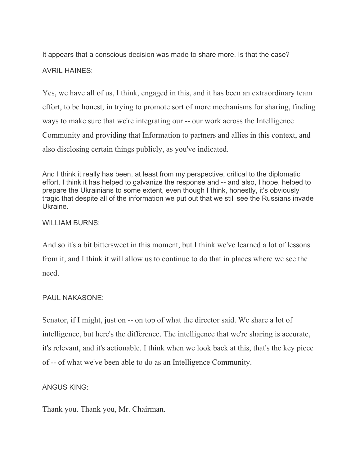It appears that a conscious decision was made to share more. Is that the case?

AVRIL HAINES:

Yes, we have all of us, I think, engaged in this, and it has been an extraordinary team effort, to be honest, in trying to promote sort of more mechanisms for sharing, finding ways to make sure that we're integrating our -- our work across the Intelligence Community and providing that Information to partners and allies in this context, and also disclosing certain things publicly, as you've indicated.

And I think it really has been, at least from my perspective, critical to the diplomatic effort. I think it has helped to galvanize the response and -- and also, I hope, helped to prepare the Ukrainians to some extent, even though I think, honestly, it's obviously tragic that despite all of the information we put out that we still see the Russians invade Ukraine.

# WILLIAM BURNS:

And so it's a bit bittersweet in this moment, but I think we've learned a lot of lessons from it, and I think it will allow us to continue to do that in places where we see the need.

# PAUL NAKASONE:

Senator, if I might, just on -- on top of what the director said. We share a lot of intelligence, but here's the difference. The intelligence that we're sharing is accurate, it's relevant, and it's actionable. I think when we look back at this, that's the key piece of -- of what we've been able to do as an Intelligence Community.

# ANGUS KING:

Thank you. Thank you, Mr. Chairman.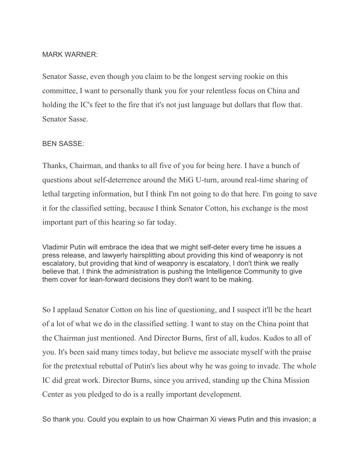#### MARK WARNER:

Senator Sasse, even though you claim to be the longest serving rookie on this committee, I want to personally thank you for your relentless focus on China and holding the IC's feet to the fire that it's not just language but dollars that flow that. Senator Sasse.

#### BEN SASSE:

Thanks, Chairman, and thanks to all five of you for being here. I have a bunch of questions about self-deterrence around the MiG U-turn, around real-time sharing of lethal targeting information, but I think I'm not going to do that here. I'm going to save it for the classified setting, because I think Senator Cotton, his exchange is the most important part of this hearing so far today.

Vladimir Putin will embrace the idea that we might self-deter every time he issues a press release, and lawyerly hairsplitting about providing this kind of weaponry is not escalatory, but providing that kind of weaponry is escalatory, I don't think we really believe that. I think the administration is pushing the Intelligence Community to give them cover for lean-forward decisions they don't want to be making.

So I applaud Senator Cotton on his line of questioning, and I suspect it'll be the heart of a lot of what we do in the classified setting. I want to stay on the China point that the Chairman just mentioned. And Director Burns, first of all, kudos. Kudos to all of you. It's been said many times today, but believe me associate myself with the praise for the pretextual rebuttal of Putin's lies about why he was going to invade. The whole IC did great work. Director Burns, since you arrived, standing up the China Mission Center as you pledged to do is a really important development.

So thank you. Could you explain to us how Chairman Xi views Putin and this invasion; a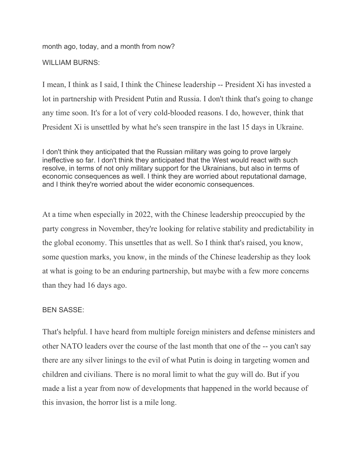month ago, today, and a month from now? WILLIAM BURNS:

I mean, I think as I said, I think the Chinese leadership -- President Xi has invested a lot in partnership with President Putin and Russia. I don't think that's going to change any time soon. It's for a lot of very cold-blooded reasons. I do, however, think that President Xi is unsettled by what he's seen transpire in the last 15 days in Ukraine.

I don't think they anticipated that the Russian military was going to prove largely ineffective so far. I don't think they anticipated that the West would react with such resolve, in terms of not only military support for the Ukrainians, but also in terms of economic consequences as well. I think they are worried about reputational damage, and I think they're worried about the wider economic consequences.

At a time when especially in 2022, with the Chinese leadership preoccupied by the party congress in November, they're looking for relative stability and predictability in the global economy. This unsettles that as well. So I think that's raised, you know, some question marks, you know, in the minds of the Chinese leadership as they look at what is going to be an enduring partnership, but maybe with a few more concerns than they had 16 days ago.

# BEN SASSE:

That's helpful. I have heard from multiple foreign ministers and defense ministers and other NATO leaders over the course of the last month that one of the -- you can't say there are any silver linings to the evil of what Putin is doing in targeting women and children and civilians. There is no moral limit to what the guy will do. But if you made a list a year from now of developments that happened in the world because of this invasion, the horror list is a mile long.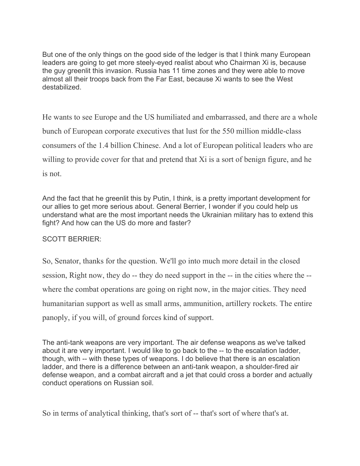But one of the only things on the good side of the ledger is that I think many European leaders are going to get more steely-eyed realist about who Chairman Xi is, because the guy greenlit this invasion. Russia has 11 time zones and they were able to move almost all their troops back from the Far East, because Xi wants to see the West destabilized.

He wants to see Europe and the US humiliated and embarrassed, and there are a whole bunch of European corporate executives that lust for the 550 million middle-class consumers of the 1.4 billion Chinese. And a lot of European political leaders who are willing to provide cover for that and pretend that Xi is a sort of benign figure, and he is not.

And the fact that he greenlit this by Putin, I think, is a pretty important development for our allies to get more serious about. General Berrier, I wonder if you could help us understand what are the most important needs the Ukrainian military has to extend this fight? And how can the US do more and faster?

# SCOTT BERRIER:

So, Senator, thanks for the question. We'll go into much more detail in the closed session, Right now, they do -- they do need support in the -- in the cities where the - where the combat operations are going on right now, in the major cities. They need humanitarian support as well as small arms, ammunition, artillery rockets. The entire panoply, if you will, of ground forces kind of support.

The anti-tank weapons are very important. The air defense weapons as we've talked about it are very important. I would like to go back to the -- to the escalation ladder, though, with -- with these types of weapons. I do believe that there is an escalation ladder, and there is a difference between an anti-tank weapon, a shoulder-fired air defense weapon, and a combat aircraft and a jet that could cross a border and actually conduct operations on Russian soil.

So in terms of analytical thinking, that's sort of -- that's sort of where that's at.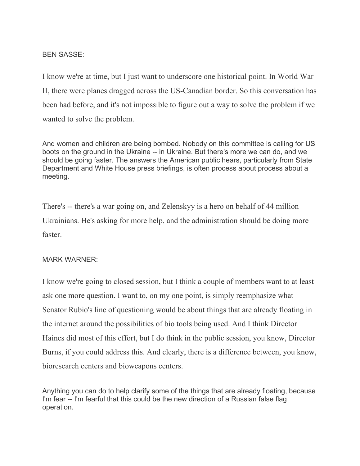## BEN SASSE:

I know we're at time, but I just want to underscore one historical point. In World War II, there were planes dragged across the US-Canadian border. So this conversation has been had before, and it's not impossible to figure out a way to solve the problem if we wanted to solve the problem.

And women and children are being bombed. Nobody on this committee is calling for US boots on the ground in the Ukraine -- in Ukraine. But there's more we can do, and we should be going faster. The answers the American public hears, particularly from State Department and White House press briefings, is often process about process about a meeting.

There's -- there's a war going on, and Zelenskyy is a hero on behalf of 44 million Ukrainians. He's asking for more help, and the administration should be doing more faster.

## MARK WARNER:

I know we're going to closed session, but I think a couple of members want to at least ask one more question. I want to, on my one point, is simply reemphasize what Senator Rubio's line of questioning would be about things that are already floating in the internet around the possibilities of bio tools being used. And I think Director Haines did most of this effort, but I do think in the public session, you know, Director Burns, if you could address this. And clearly, there is a difference between, you know, bioresearch centers and bioweapons centers.

Anything you can do to help clarify some of the things that are already floating, because I'm fear -- I'm fearful that this could be the new direction of a Russian false flag operation.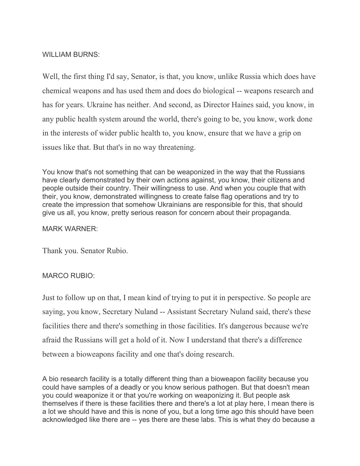## WILLIAM BURNS:

Well, the first thing I'd say, Senator, is that, you know, unlike Russia which does have chemical weapons and has used them and does do biological -- weapons research and has for years. Ukraine has neither. And second, as Director Haines said, you know, in any public health system around the world, there's going to be, you know, work done in the interests of wider public health to, you know, ensure that we have a grip on issues like that. But that's in no way threatening.

You know that's not something that can be weaponized in the way that the Russians have clearly demonstrated by their own actions against, you know, their citizens and people outside their country. Their willingness to use. And when you couple that with their, you know, demonstrated willingness to create false flag operations and try to create the impression that somehow Ukrainians are responsible for this, that should give us all, you know, pretty serious reason for concern about their propaganda.

## MARK WARNER:

Thank you. Senator Rubio.

## MARCO RUBIO:

Just to follow up on that, I mean kind of trying to put it in perspective. So people are saying, you know, Secretary Nuland -- Assistant Secretary Nuland said, there's these facilities there and there's something in those facilities. It's dangerous because we're afraid the Russians will get a hold of it. Now I understand that there's a difference between a bioweapons facility and one that's doing research.

A bio research facility is a totally different thing than a bioweapon facility because you could have samples of a deadly or you know serious pathogen. But that doesn't mean you could weaponize it or that you're working on weaponizing it. But people ask themselves if there is these facilities there and there's a lot at play here, I mean there is a lot we should have and this is none of you, but a long time ago this should have been acknowledged like there are -- yes there are these labs. This is what they do because a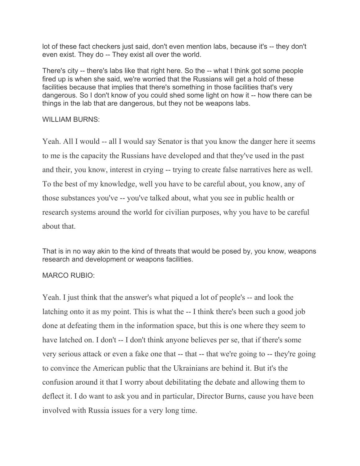lot of these fact checkers just said, don't even mention labs, because it's -- they don't even exist. They do -- They exist all over the world.

There's city -- there's labs like that right here. So the -- what I think got some people fired up is when she said, we're worried that the Russians will get a hold of these facilities because that implies that there's something in those facilities that's very dangerous. So I don't know of you could shed some light on how it -- how there can be things in the lab that are dangerous, but they not be weapons labs.

## WILLIAM BURNS:

Yeah. All I would -- all I would say Senator is that you know the danger here it seems to me is the capacity the Russians have developed and that they've used in the past and their, you know, interest in crying -- trying to create false narratives here as well. To the best of my knowledge, well you have to be careful about, you know, any of those substances you've -- you've talked about, what you see in public health or research systems around the world for civilian purposes, why you have to be careful about that.

That is in no way akin to the kind of threats that would be posed by, you know, weapons research and development or weapons facilities.

## MARCO RUBIO:

Yeah. I just think that the answer's what piqued a lot of people's -- and look the latching onto it as my point. This is what the -- I think there's been such a good job done at defeating them in the information space, but this is one where they seem to have latched on. I don't -- I don't think anyone believes per se, that if there's some very serious attack or even a fake one that -- that -- that we're going to -- they're going to convince the American public that the Ukrainians are behind it. But it's the confusion around it that I worry about debilitating the debate and allowing them to deflect it. I do want to ask you and in particular, Director Burns, cause you have been involved with Russia issues for a very long time.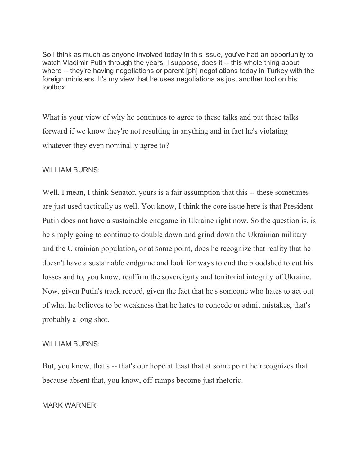So I think as much as anyone involved today in this issue, you've had an opportunity to watch Vladimir Putin through the years. I suppose, does it -- this whole thing about where -- they're having negotiations or parent [ph] negotiations today in Turkey with the foreign ministers. It's my view that he uses negotiations as just another tool on his toolbox.

What is your view of why he continues to agree to these talks and put these talks forward if we know they're not resulting in anything and in fact he's violating whatever they even nominally agree to?

## WILLIAM BURNS:

Well, I mean, I think Senator, yours is a fair assumption that this -- these sometimes are just used tactically as well. You know, I think the core issue here is that President Putin does not have a sustainable endgame in Ukraine right now. So the question is, is he simply going to continue to double down and grind down the Ukrainian military and the Ukrainian population, or at some point, does he recognize that reality that he doesn't have a sustainable endgame and look for ways to end the bloodshed to cut his losses and to, you know, reaffirm the sovereignty and territorial integrity of Ukraine. Now, given Putin's track record, given the fact that he's someone who hates to act out of what he believes to be weakness that he hates to concede or admit mistakes, that's probably a long shot.

#### WILLIAM BURNS:

But, you know, that's -- that's our hope at least that at some point he recognizes that because absent that, you know, off-ramps become just rhetoric.

## MARK WARNER: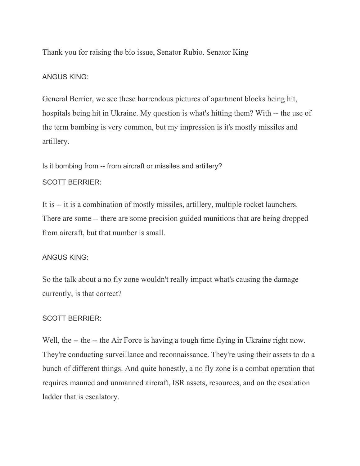Thank you for raising the bio issue, Senator Rubio. Senator King

#### ANGUS KING:

General Berrier, we see these horrendous pictures of apartment blocks being hit, hospitals being hit in Ukraine. My question is what's hitting them? With -- the use of the term bombing is very common, but my impression is it's mostly missiles and artillery.

Is it bombing from -- from aircraft or missiles and artillery? SCOTT BERRIER:

It is -- it is a combination of mostly missiles, artillery, multiple rocket launchers. There are some -- there are some precision guided munitions that are being dropped from aircraft, but that number is small.

#### ANGUS KING:

So the talk about a no fly zone wouldn't really impact what's causing the damage currently, is that correct?

#### SCOTT BERRIER:

Well, the -- the -- the Air Force is having a tough time flying in Ukraine right now. They're conducting surveillance and reconnaissance. They're using their assets to do a bunch of different things. And quite honestly, a no fly zone is a combat operation that requires manned and unmanned aircraft, ISR assets, resources, and on the escalation ladder that is escalatory.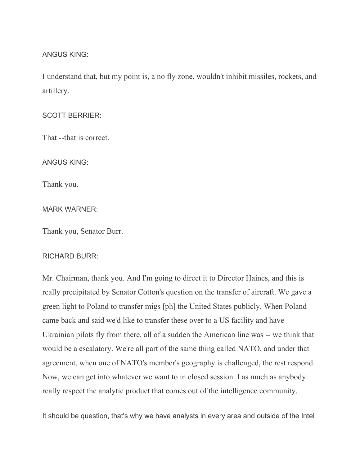### ANGUS KING:

I understand that, but my point is, a no fly zone, wouldn't inhibit missiles, rockets, and artillery.

#### SCOTT BERRIER:

That --that is correct.

ANGUS KING:

Thank you.

#### MARK WARNER:

Thank you, Senator Burr.

#### RICHARD BURR:

Mr. Chairman, thank you. And I'm going to direct it to Director Haines, and this is really precipitated by Senator Cotton's question on the transfer of aircraft. We gave a green light to Poland to transfer migs [ph] the United States publicly. When Poland came back and said we'd like to transfer these over to a US facility and have Ukrainian pilots fly from there, all of a sudden the American line was -- we think that would be a escalatory. We're all part of the same thing called NATO, and under that agreement, when one of NATO's member's geography is challenged, the rest respond. Now, we can get into whatever we want to in closed session. I as much as anybody really respect the analytic product that comes out of the intelligence community.

It should be question, that's why we have analysts in every area and outside of the Intel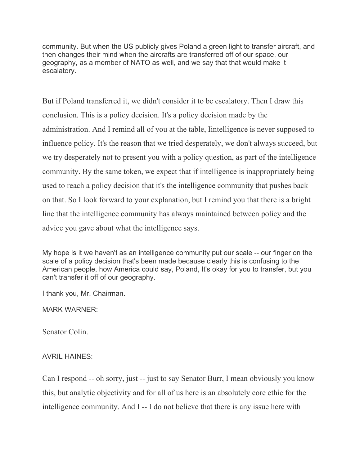community. But when the US publicly gives Poland a green light to transfer aircraft, and then changes their mind when the aircrafts are transferred off of our space, our geography, as a member of NATO as well, and we say that that would make it escalatory.

But if Poland transferred it, we didn't consider it to be escalatory. Then I draw this conclusion. This is a policy decision. It's a policy decision made by the administration. And I remind all of you at the table, Iintelligence is never supposed to influence policy. It's the reason that we tried desperately, we don't always succeed, but we try desperately not to present you with a policy question, as part of the intelligence community. By the same token, we expect that if intelligence is inappropriately being used to reach a policy decision that it's the intelligence community that pushes back on that. So I look forward to your explanation, but I remind you that there is a bright line that the intelligence community has always maintained between policy and the advice you gave about what the intelligence says.

My hope is it we haven't as an intelligence community put our scale -- our finger on the scale of a policy decision that's been made because clearly this is confusing to the American people, how America could say, Poland, It's okay for you to transfer, but you can't transfer it off of our geography.

I thank you, Mr. Chairman.

MARK WARNER:

Senator Colin.

# AVRIL HAINES:

Can I respond -- oh sorry, just -- just to say Senator Burr, I mean obviously you know this, but analytic objectivity and for all of us here is an absolutely core ethic for the intelligence community. And I -- I do not believe that there is any issue here with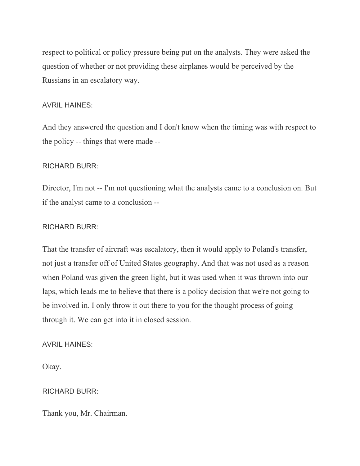respect to political or policy pressure being put on the analysts. They were asked the question of whether or not providing these airplanes would be perceived by the Russians in an escalatory way.

## AVRIL HAINES:

And they answered the question and I don't know when the timing was with respect to the policy -- things that were made --

## RICHARD BURR:

Director, I'm not -- I'm not questioning what the analysts came to a conclusion on. But if the analyst came to a conclusion --

## RICHARD BURR:

That the transfer of aircraft was escalatory, then it would apply to Poland's transfer, not just a transfer off of United States geography. And that was not used as a reason when Poland was given the green light, but it was used when it was thrown into our laps, which leads me to believe that there is a policy decision that we're not going to be involved in. I only throw it out there to you for the thought process of going through it. We can get into it in closed session.

# AVRIL HAINES:

Okay.

## RICHARD BURR:

Thank you, Mr. Chairman.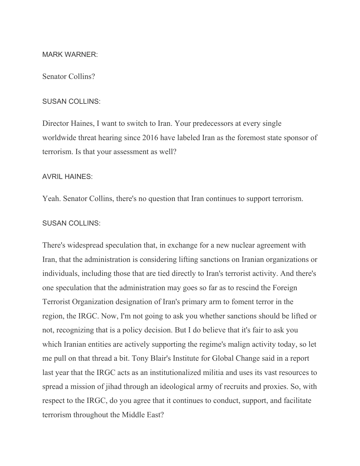#### MARK WARNER:

#### Senator Collins?

#### SUSAN COLLINS:

Director Haines, I want to switch to Iran. Your predecessors at every single worldwide threat hearing since 2016 have labeled Iran as the foremost state sponsor of terrorism. Is that your assessment as well?

#### AVRIL HAINES:

Yeah. Senator Collins, there's no question that Iran continues to support terrorism.

### SUSAN COLLINS:

There's widespread speculation that, in exchange for a new nuclear agreement with Iran, that the administration is considering lifting sanctions on Iranian organizations or individuals, including those that are tied directly to Iran's terrorist activity. And there's one speculation that the administration may goes so far as to rescind the Foreign Terrorist Organization designation of Iran's primary arm to foment terror in the region, the IRGC. Now, I'm not going to ask you whether sanctions should be lifted or not, recognizing that is a policy decision. But I do believe that it's fair to ask you which Iranian entities are actively supporting the regime's malign activity today, so let me pull on that thread a bit. Tony Blair's Institute for Global Change said in a report last year that the IRGC acts as an institutionalized militia and uses its vast resources to spread a mission of jihad through an ideological army of recruits and proxies. So, with respect to the IRGC, do you agree that it continues to conduct, support, and facilitate terrorism throughout the Middle East?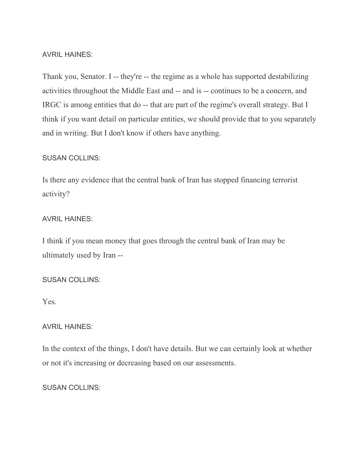### AVRIL HAINES:

Thank you, Senator. I -- they're -- the regime as a whole has supported destabilizing activities throughout the Middle East and -- and is -- continues to be a concern, and IRGC is among entities that do -- that are part of the regime's overall strategy. But I think if you want detail on particular entities, we should provide that to you separately and in writing. But I don't know if others have anything.

#### SUSAN COLLINS:

Is there any evidence that the central bank of Iran has stopped financing terrorist activity?

#### AVRIL HAINES:

I think if you mean money that goes through the central bank of Iran may be ultimately used by Iran --

#### SUSAN COLLINS:

Yes.

#### AVRIL HAINES:

In the context of the things, I don't have details. But we can certainly look at whether or not it's increasing or decreasing based on our assessments.

#### SUSAN COLLINS: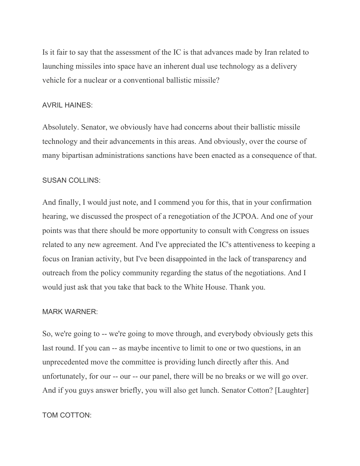Is it fair to say that the assessment of the IC is that advances made by Iran related to launching missiles into space have an inherent dual use technology as a delivery vehicle for a nuclear or a conventional ballistic missile?

#### AVRIL HAINES:

Absolutely. Senator, we obviously have had concerns about their ballistic missile technology and their advancements in this areas. And obviously, over the course of many bipartisan administrations sanctions have been enacted as a consequence of that.

#### SUSAN COLLINS:

And finally, I would just note, and I commend you for this, that in your confirmation hearing, we discussed the prospect of a renegotiation of the JCPOA. And one of your points was that there should be more opportunity to consult with Congress on issues related to any new agreement. And I've appreciated the IC's attentiveness to keeping a focus on Iranian activity, but I've been disappointed in the lack of transparency and outreach from the policy community regarding the status of the negotiations. And I would just ask that you take that back to the White House. Thank you.

#### MARK WARNER:

So, we're going to -- we're going to move through, and everybody obviously gets this last round. If you can -- as maybe incentive to limit to one or two questions, in an unprecedented move the committee is providing lunch directly after this. And unfortunately, for our -- our -- our panel, there will be no breaks or we will go over. And if you guys answer briefly, you will also get lunch. Senator Cotton? [Laughter]

#### TOM COTTON: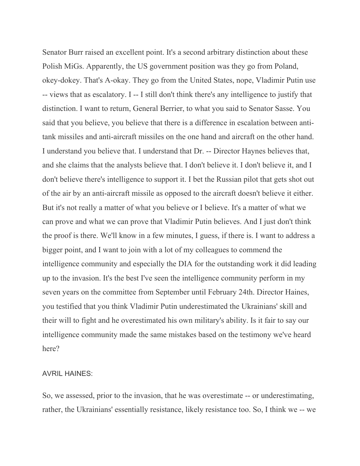Senator Burr raised an excellent point. It's a second arbitrary distinction about these Polish MiGs. Apparently, the US government position was they go from Poland, okey-dokey. That's A-okay. They go from the United States, nope, Vladimir Putin use -- views that as escalatory. I -- I still don't think there's any intelligence to justify that distinction. I want to return, General Berrier, to what you said to Senator Sasse. You said that you believe, you believe that there is a difference in escalation between antitank missiles and anti-aircraft missiles on the one hand and aircraft on the other hand. I understand you believe that. I understand that Dr. -- Director Haynes believes that, and she claims that the analysts believe that. I don't believe it. I don't believe it, and I don't believe there's intelligence to support it. I bet the Russian pilot that gets shot out of the air by an anti-aircraft missile as opposed to the aircraft doesn't believe it either. But it's not really a matter of what you believe or I believe. It's a matter of what we can prove and what we can prove that Vladimir Putin believes. And I just don't think the proof is there. We'll know in a few minutes, I guess, if there is. I want to address a bigger point, and I want to join with a lot of my colleagues to commend the intelligence community and especially the DIA for the outstanding work it did leading up to the invasion. It's the best I've seen the intelligence community perform in my seven years on the committee from September until February 24th. Director Haines, you testified that you think Vladimir Putin underestimated the Ukrainians' skill and their will to fight and he overestimated his own military's ability. Is it fair to say our intelligence community made the same mistakes based on the testimony we've heard here?

#### AVRIL HAINES:

So, we assessed, prior to the invasion, that he was overestimate -- or underestimating, rather, the Ukrainians' essentially resistance, likely resistance too. So, I think we -- we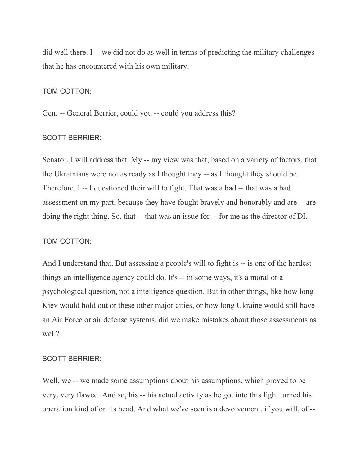did well there. I -- we did not do as well in terms of predicting the military challenges that he has encountered with his own military.

## TOM COTTON:

Gen. -- General Berrier, could you -- could you address this?

#### SCOTT BERRIER:

Senator, I will address that. My -- my view was that, based on a variety of factors, that the Ukrainians were not as ready as I thought they -- as I thought they should be. Therefore, I -- I questioned their will to fight. That was a bad -- that was a bad assessment on my part, because they have fought bravely and honorably and are -- are doing the right thing. So, that -- that was an issue for -- for me as the director of DI.

#### TOM COTTON:

And I understand that. But assessing a people's will to fight is -- is one of the hardest things an intelligence agency could do. It's -- in some ways, it's a moral or a psychological question, not a intelligence question. But in other things, like how long Kiev would hold out or these other major cities, or how long Ukraine would still have an Air Force or air defense systems, did we make mistakes about those assessments as well?

#### SCOTT BERRIER:

Well, we -- we made some assumptions about his assumptions, which proved to be very, very flawed. And so, his -- his actual activity as he got into this fight turned his operation kind of on its head. And what we've seen is a devolvement, if you will, of --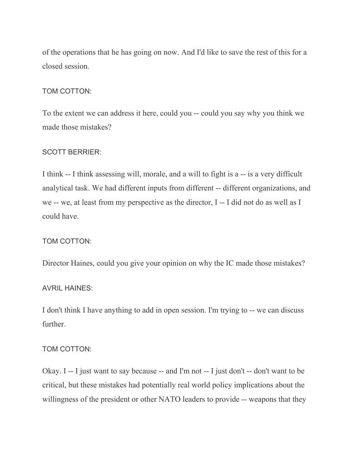of the operations that he has going on now. And I'd like to save the rest of this for a closed session.

## TOM COTTON:

To the extent we can address it here, could you -- could you say why you think we made those mistakes?

### SCOTT BERRIER:

I think -- I think assessing will, morale, and a will to fight is a -- is a very difficult analytical task. We had different inputs from different -- different organizations, and we -- we, at least from my perspective as the director, I -- I did not do as well as I could have.

#### TOM COTTON:

Director Haines, could you give your opinion on why the IC made those mistakes?

#### AVRIL HAINES:

I don't think I have anything to add in open session. I'm trying to -- we can discuss further.

#### TOM COTTON:

Okay. I -- I just want to say because -- and I'm not -- I just don't -- don't want to be critical, but these mistakes had potentially real world policy implications about the willingness of the president or other NATO leaders to provide -- weapons that they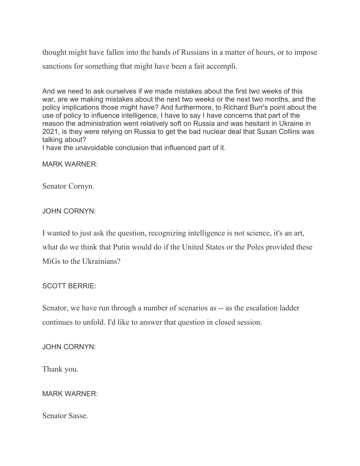thought might have fallen into the hands of Russians in a matter of hours, or to impose sanctions for something that might have been a fait accompli.

And we need to ask ourselves if we made mistakes about the first two weeks of this war, are we making mistakes about the next two weeks or the next two months, and the policy implications those might have? And furthermore, to Richard Burr's point about the use of policy to influence intelligence, I have to say I have concerns that part of the reason the administration went relatively soft on Russia and was hesitant in Ukraine in 2021, is they were relying on Russia to get the bad nuclear deal that Susan Collins was talking about?

I have the unavoidable conclusion that influenced part of it.

MARK WARNER:

Senator Cornyn.

JOHN CORNYN:

I wanted to just ask the question, recognizing intelligence is not science, it's an art, what do we think that Putin would do if the United States or the Poles provided these MiGs to the Ukrainians?

# SCOTT BERRIE:

Senator, we have run through a number of scenarios as -- as the escalation ladder continues to unfold. I'd like to answer that question in closed session.

JOHN CORNYN:

Thank you.

# MARK WARNER:

Senator Sasse.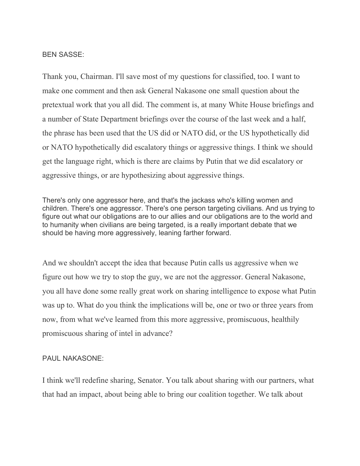BEN SASSE:

Thank you, Chairman. I'll save most of my questions for classified, too. I want to make one comment and then ask General Nakasone one small question about the pretextual work that you all did. The comment is, at many White House briefings and a number of State Department briefings over the course of the last week and a half, the phrase has been used that the US did or NATO did, or the US hypothetically did or NATO hypothetically did escalatory things or aggressive things. I think we should get the language right, which is there are claims by Putin that we did escalatory or aggressive things, or are hypothesizing about aggressive things.

There's only one aggressor here, and that's the jackass who's killing women and children. There's one aggressor. There's one person targeting civilians. And us trying to figure out what our obligations are to our allies and our obligations are to the world and to humanity when civilians are being targeted, is a really important debate that we should be having more aggressively, leaning farther forward.

And we shouldn't accept the idea that because Putin calls us aggressive when we figure out how we try to stop the guy, we are not the aggressor. General Nakasone, you all have done some really great work on sharing intelligence to expose what Putin was up to. What do you think the implications will be, one or two or three years from now, from what we've learned from this more aggressive, promiscuous, healthily promiscuous sharing of intel in advance?

## PAUL NAKASONE:

I think we'll redefine sharing, Senator. You talk about sharing with our partners, what that had an impact, about being able to bring our coalition together. We talk about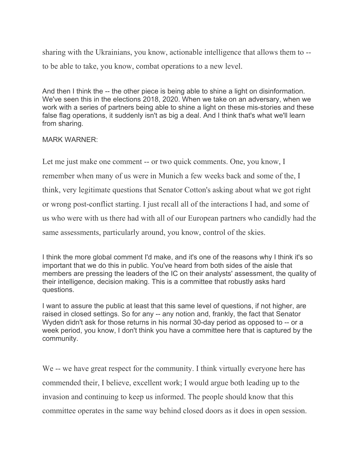sharing with the Ukrainians, you know, actionable intelligence that allows them to - to be able to take, you know, combat operations to a new level.

And then I think the -- the other piece is being able to shine a light on disinformation. We've seen this in the elections 2018, 2020. When we take on an adversary, when we work with a series of partners being able to shine a light on these mis-stories and these false flag operations, it suddenly isn't as big a deal. And I think that's what we'll learn from sharing.

## MARK WARNER:

Let me just make one comment -- or two quick comments. One, you know, I remember when many of us were in Munich a few weeks back and some of the, I think, very legitimate questions that Senator Cotton's asking about what we got right or wrong post-conflict starting. I just recall all of the interactions I had, and some of us who were with us there had with all of our European partners who candidly had the same assessments, particularly around, you know, control of the skies.

I think the more global comment I'd make, and it's one of the reasons why I think it's so important that we do this in public. You've heard from both sides of the aisle that members are pressing the leaders of the IC on their analysts' assessment, the quality of their intelligence, decision making. This is a committee that robustly asks hard questions.

I want to assure the public at least that this same level of questions, if not higher, are raised in closed settings. So for any -- any notion and, frankly, the fact that Senator Wyden didn't ask for those returns in his normal 30-day period as opposed to -- or a week period, you know, I don't think you have a committee here that is captured by the community.

We -- we have great respect for the community. I think virtually everyone here has commended their, I believe, excellent work; I would argue both leading up to the invasion and continuing to keep us informed. The people should know that this committee operates in the same way behind closed doors as it does in open session.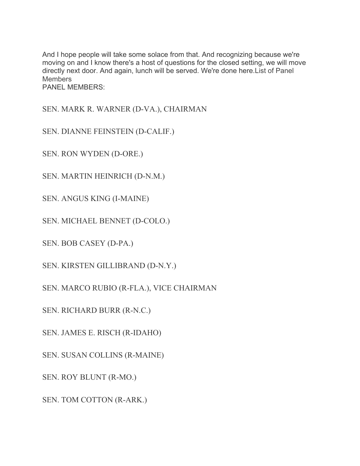And I hope people will take some solace from that. And recognizing because we're moving on and I know there's a host of questions for the closed setting, we will move directly next door. And again, lunch will be served. We're done here.List of Panel **Members** PANEL MEMBERS:

SEN. MARK R. WARNER (D-VA.), CHAIRMAN

SEN. DIANNE FEINSTEIN (D-CALIF.)

SEN. RON WYDEN (D-ORE.)

SEN. MARTIN HEINRICH (D-N.M.)

SEN. ANGUS KING (I-MAINE)

SEN. MICHAEL BENNET (D-COLO.)

SEN. BOB CASEY (D-PA.)

SEN. KIRSTEN GILLIBRAND (D-N.Y.)

SEN. MARCO RUBIO (R-FLA.), VICE CHAIRMAN

SEN. RICHARD BURR (R-N.C.)

SEN. JAMES E. RISCH (R-IDAHO)

SEN. SUSAN COLLINS (R-MAINE)

SEN. ROY BLUNT (R-MO.)

SEN. TOM COTTON (R-ARK.)